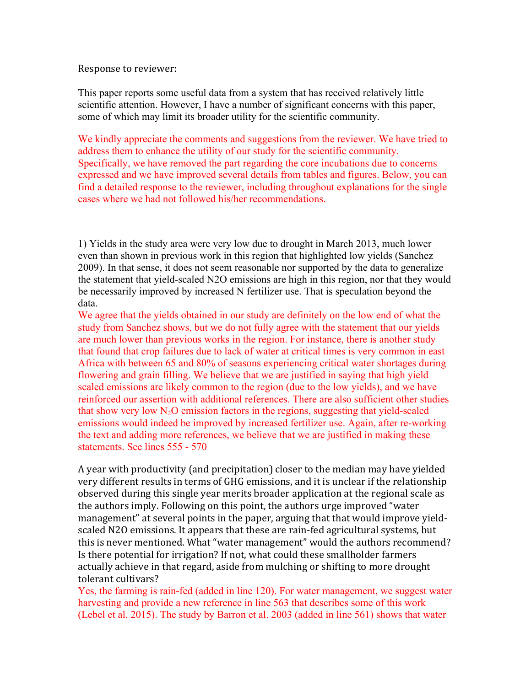#### Response to reviewer:

This paper reports some useful data from a system that has received relatively little scientific attention. However, I have a number of significant concerns with this paper, some of which may limit its broader utility for the scientific community.

We kindly appreciate the comments and suggestions from the reviewer. We have tried to address them to enhance the utility of our study for the scientific community. Specifically, we have removed the part regarding the core incubations due to concerns expressed and we have improved several details from tables and figures. Below, you can find a detailed response to the reviewer, including throughout explanations for the single cases where we had not followed his/her recommendations.

1) Yields in the study area were very low due to drought in March 2013, much lower even than shown in previous work in this region that highlighted low yields (Sanchez 2009). In that sense, it does not seem reasonable nor supported by the data to generalize the statement that yield-scaled N2O emissions are high in this region, nor that they would be necessarily improved by increased N fertilizer use. That is speculation beyond the data.

We agree that the yields obtained in our study are definitely on the low end of what the study from Sanchez shows, but we do not fully agree with the statement that our yields are much lower than previous works in the region. For instance, there is another study that found that crop failures due to lack of water at critical times is very common in east Africa with between 65 and 80% of seasons experiencing critical water shortages during flowering and grain filling. We believe that we are justified in saying that high yield scaled emissions are likely common to the region (due to the low yields), and we have reinforced our assertion with additional references. There are also sufficient other studies that show very low  $N_2O$  emission factors in the regions, suggesting that yield-scaled emissions would indeed be improved by increased fertilizer use. Again, after re-working the text and adding more references, we believe that we are justified in making these statements. See lines 555 - 570

A year with productivity (and precipitation) closer to the median may have yielded very different results in terms of GHG emissions, and it is unclear if the relationship observed during this single year merits broader application at the regional scale as the authors imply. Following on this point, the authors urge improved "water" management" at several points in the paper, arguing that that would improve yieldscaled N2O emissions. It appears that these are rain-fed agricultural systems, but this is never mentioned. What "water management" would the authors recommend? Is there potential for irrigation? If not, what could these smallholder farmers actually achieve in that regard, aside from mulching or shifting to more drought tolerant cultivars?

Yes, the farming is rain-fed (added in line 120). For water management, we suggest water harvesting and provide a new reference in line 563 that describes some of this work (Lebel et al. 2015). The study by Barron et al. 2003 (added in line 561) shows that water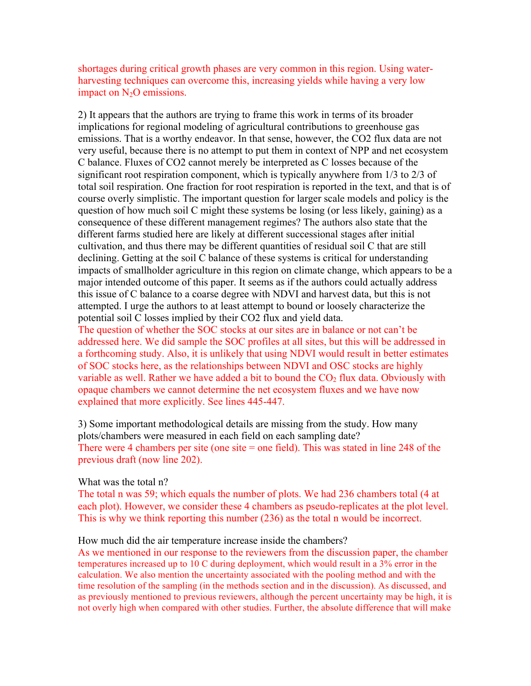shortages during critical growth phases are very common in this region. Using waterharvesting techniques can overcome this, increasing yields while having a very low impact on  $N_2O$  emissions.

2) It appears that the authors are trying to frame this work in terms of its broader implications for regional modeling of agricultural contributions to greenhouse gas emissions. That is a worthy endeavor. In that sense, however, the CO2 flux data are not very useful, because there is no attempt to put them in context of NPP and net ecosystem C balance. Fluxes of CO2 cannot merely be interpreted as C losses because of the significant root respiration component, which is typically anywhere from 1/3 to 2/3 of total soil respiration. One fraction for root respiration is reported in the text, and that is of course overly simplistic. The important question for larger scale models and policy is the question of how much soil C might these systems be losing (or less likely, gaining) as a consequence of these different management regimes? The authors also state that the different farms studied here are likely at different successional stages after initial cultivation, and thus there may be different quantities of residual soil C that are still declining. Getting at the soil C balance of these systems is critical for understanding impacts of smallholder agriculture in this region on climate change, which appears to be a major intended outcome of this paper. It seems as if the authors could actually address this issue of C balance to a coarse degree with NDVI and harvest data, but this is not attempted. I urge the authors to at least attempt to bound or loosely characterize the potential soil C losses implied by their CO2 flux and yield data.

The question of whether the SOC stocks at our sites are in balance or not can't be addressed here. We did sample the SOC profiles at all sites, but this will be addressed in a forthcoming study. Also, it is unlikely that using NDVI would result in better estimates of SOC stocks here, as the relationships between NDVI and OSC stocks are highly variable as well. Rather we have added a bit to bound the  $CO<sub>2</sub>$  flux data. Obviously with opaque chambers we cannot determine the net ecosystem fluxes and we have now explained that more explicitly. See lines 445-447.

3) Some important methodological details are missing from the study. How many plots/chambers were measured in each field on each sampling date? There were 4 chambers per site (one site  $=$  one field). This was stated in line 248 of the previous draft (now line 202).

#### What was the total n?

The total n was 59; which equals the number of plots. We had 236 chambers total (4 at each plot). However, we consider these 4 chambers as pseudo-replicates at the plot level. This is why we think reporting this number (236) as the total n would be incorrect.

#### How much did the air temperature increase inside the chambers?

As we mentioned in our response to the reviewers from the discussion paper, the chamber temperatures increased up to 10 C during deployment, which would result in a 3% error in the calculation. We also mention the uncertainty associated with the pooling method and with the time resolution of the sampling (in the methods section and in the discussion). As discussed, and as previously mentioned to previous reviewers, although the percent uncertainty may be high, it is not overly high when compared with other studies. Further, the absolute difference that will make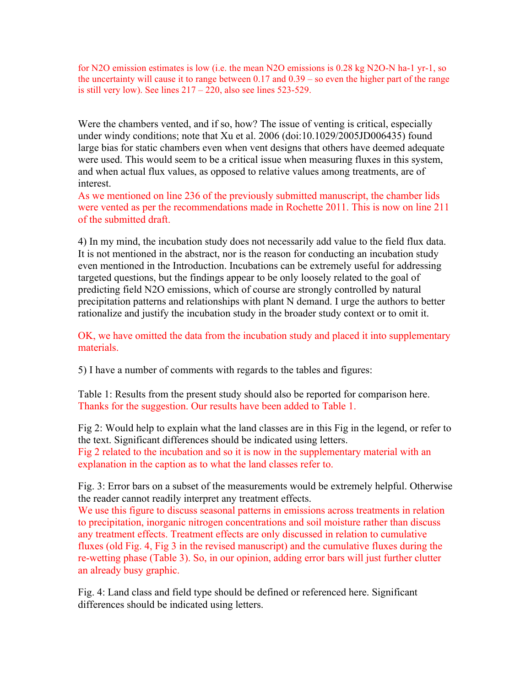for N2O emission estimates is low (i.e. the mean N2O emissions is 0.28 kg N2O-N ha-1 yr-1, so the uncertainty will cause it to range between 0.17 and 0.39 – so even the higher part of the range is still very low). See lines  $217 - 220$ , also see lines 523-529.

Were the chambers vented, and if so, how? The issue of venting is critical, especially under windy conditions; note that Xu et al. 2006 (doi:10.1029/2005JD006435) found large bias for static chambers even when vent designs that others have deemed adequate were used. This would seem to be a critical issue when measuring fluxes in this system, and when actual flux values, as opposed to relative values among treatments, are of interest.

As we mentioned on line 236 of the previously submitted manuscript, the chamber lids were vented as per the recommendations made in Rochette 2011. This is now on line 211 of the submitted draft.

4) In my mind, the incubation study does not necessarily add value to the field flux data. It is not mentioned in the abstract, nor is the reason for conducting an incubation study even mentioned in the Introduction. Incubations can be extremely useful for addressing targeted questions, but the findings appear to be only loosely related to the goal of predicting field N2O emissions, which of course are strongly controlled by natural precipitation patterns and relationships with plant N demand. I urge the authors to better rationalize and justify the incubation study in the broader study context or to omit it.

OK, we have omitted the data from the incubation study and placed it into supplementary materials.

5) I have a number of comments with regards to the tables and figures:

Table 1: Results from the present study should also be reported for comparison here. Thanks for the suggestion. Our results have been added to Table 1.

Fig 2: Would help to explain what the land classes are in this Fig in the legend, or refer to the text. Significant differences should be indicated using letters. Fig 2 related to the incubation and so it is now in the supplementary material with an explanation in the caption as to what the land classes refer to.

Fig. 3: Error bars on a subset of the measurements would be extremely helpful. Otherwise the reader cannot readily interpret any treatment effects.

We use this figure to discuss seasonal patterns in emissions across treatments in relation to precipitation, inorganic nitrogen concentrations and soil moisture rather than discuss any treatment effects. Treatment effects are only discussed in relation to cumulative fluxes (old Fig. 4, Fig 3 in the revised manuscript) and the cumulative fluxes during the re-wetting phase (Table 3). So, in our opinion, adding error bars will just further clutter an already busy graphic.

Fig. 4: Land class and field type should be defined or referenced here. Significant differences should be indicated using letters.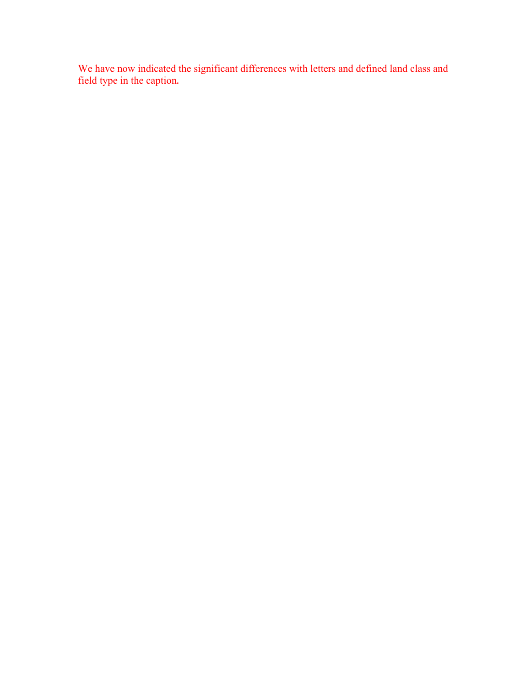We have now indicated the significant differences with letters and defined land class and field type in the caption.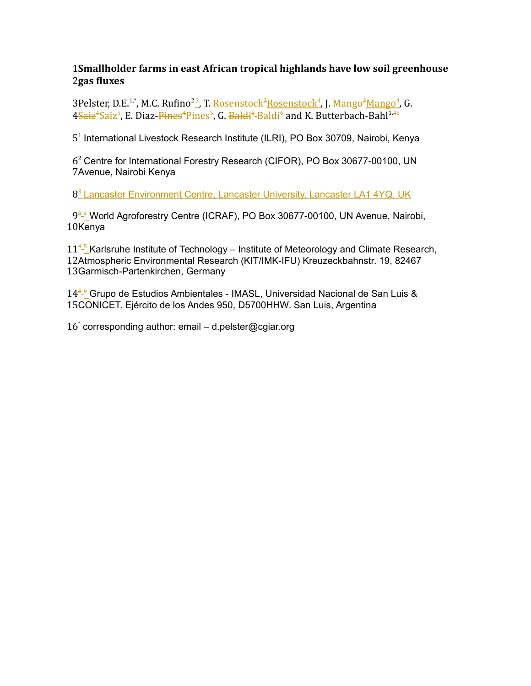## **Smallholder farms in east African tropical highlands have low soil greenhouse**  1 **gas fluxes** 2

3Pelster, D.E.<sup>1,\*</sup>, M.C. Rufino<sup>2,3</sup>, T. <del>Rosenstock<sup>3</sup>Rosenstock<sup>4</sup>, J. <del>Mango<sup>3</sup>Mango<sup>4</sup>,</del> G.</del> 4<del>Saiz<sup>4</sup>Saiz<sup>5</sup>,</del> E. Diaz-<del>Pines<sup>4</sup>Pines<sup>5</sup>, G. <del>Baldi<sup>5</sup>-Baldi<sup>6</sup> a</del>nd K. Butterbach-Bahl<sup>1,45</sup></del>

5<sup>1</sup> International Livestock Research Institute (ILRI), PO Box 30709, Nairobi, Kenya

 $6<sup>2</sup>$  Centre for International Forestry Research (CIFOR), PO Box 30677-00100, UN 7 Avenue, Nairobi Kenya

8<sup>3</sup> Lancaster Environment Centre, Lancaster University, Lancaster LA1 4YQ, UK

9<sup>3</sup><sup>4</sup> World Agroforestry Centre (ICRAF), PO Box 30677-00100, UN Avenue, Nairobi, 10Kenya

 $11<sup>4.5</sup>$  Karlsruhe Institute of Technology – Institute of Meteorology and Climate Research, 12Atmospheric Environmental Research (KIT/IMK-IFU) Kreuzeckbahnstr. 19, 82467 13 Garmisch-Partenkirchen, Germany

14<sup>5-6</sup> Grupo de Estudios Ambientales - IMASL, Universidad Nacional de San Luis & 15CONICET. Ejército de los Andes 950, D5700HHW. San Luis, Argentina

16<sup>\*</sup> corresponding author: email - d.pelster@cgiar.org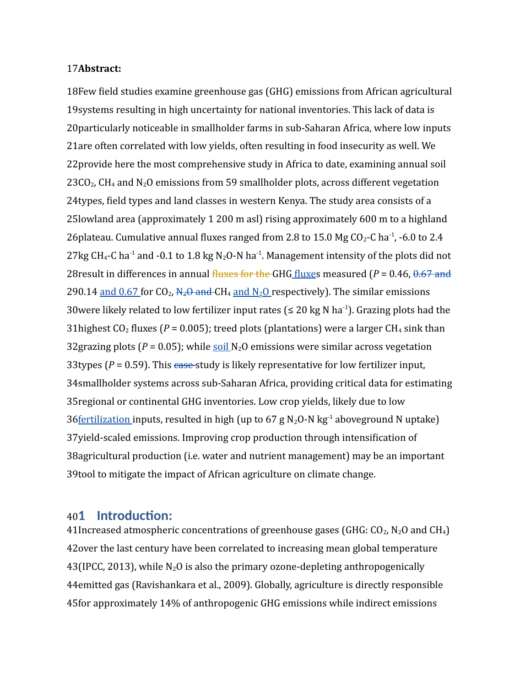#### 17Abstract:

18Few field studies examine greenhouse gas (GHG) emissions from African agricultural 19 systems resulting in high uncertainty for national inventories. This lack of data is 20 particularly noticeable in smallholder farms in sub-Saharan Africa, where low inputs 21are often correlated with low yields, often resulting in food insecurity as well. We 22 provide here the most comprehensive study in Africa to date, examining annual soil  $23CO<sub>2</sub>$ , CH<sub>4</sub> and N<sub>2</sub>O emissions from 59 smallholder plots, across different vegetation 24 types, field types and land classes in western Kenya. The study area consists of a 25 lowland area (approximately 1 200 m asl) rising approximately 600 m to a highland 26 plateau. Cumulative annual fluxes ranged from 2.8 to 15.0 Mg  $CO_2$ -C ha<sup>-1</sup>, -6.0 to 2.4 27kg CH<sub>4</sub>-C ha<sup>-1</sup> and -0.1 to 1.8 kg N<sub>2</sub>O-N ha<sup>-1</sup>. Management intensity of the plots did not 28 result in differences in annual fluxes for the GHG fluxes measured (*P* = 0.46, 0.67 and 290.14 and  $0.67$  for CO<sub>2</sub>,  $N_2\Theta$  and CH<sub>4</sub> and  $N_2\Omega$  respectively). The similar emissions 30 were likely related to low fertilizer input rates ( $\leq 20$  kg N ha<sup>-1</sup>). Grazing plots had the 31 highest  $CO_2$  fluxes ( $P = 0.005$ ); treed plots (plantations) were a larger  $CH_4$  sink than 32 grazing plots ( $P = 0.05$ ); while soil  $N_2O$  emissions were similar across vegetation 33 types  $(P = 0.59)$ . This case-study is likely representative for low fertilizer input, 34 smallholder systems across sub-Saharan Africa, providing critical data for estimating 35 regional or continental GHG inventories. Low crop yields, likely due to low 36 <u>fertilization</u> inputs, resulted in high (up to 67 g N<sub>2</sub>O-N kg<sup>-1</sup> aboveground N uptake) 37 yield-scaled emissions. Improving crop production through intensification of 38 agricultural production (i.e. water and nutrient management) may be an important 39tool to mitigate the impact of African agriculture on climate change.

#### **1 Introduction:**   $401$

41Increased atmospheric concentrations of greenhouse gases (GHG:  $CO_2$ ,  $N_2O$  and CH<sub>4</sub>) 42 over the last century have been correlated to increasing mean global temperature  $43($ IPCC, 2013), while N<sub>2</sub>O is also the primary ozone-depleting anthropogenically 44emitted gas (Ravishankara et al., 2009). Globally, agriculture is directly responsible 45 for approximately 14% of anthropogenic GHG emissions while indirect emissions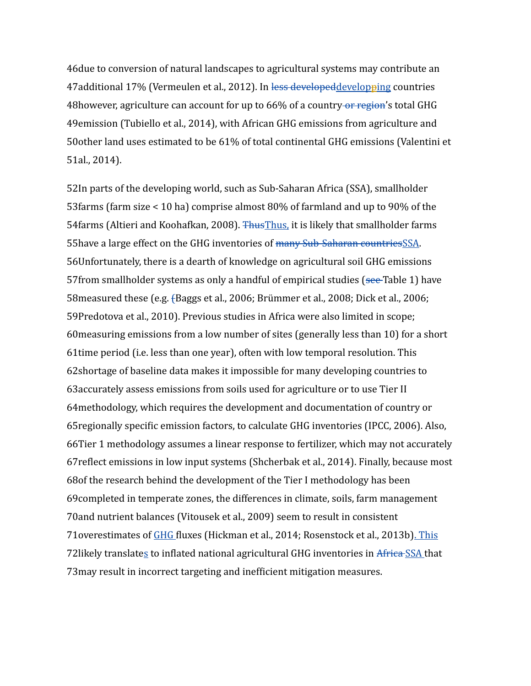46 due to conversion of natural landscapes to agricultural systems may contribute an 47additional 17% (Vermeulen et al., 2012). In less developed developping countries 48 however, agriculture can account for up to 66% of a country or region's total GHG 49 emission (Tubiello et al., 2014), with African GHG emissions from agriculture and 50other land uses estimated to be 61% of total continental GHG emissions (Valentini et 51al., 2014).

52In parts of the developing world, such as Sub-Saharan Africa (SSA), smallholder 53 farms (farm size  $< 10$  ha) comprise almost 80% of farmland and up to 90% of the 54 farms (Altieri and Koohafkan, 2008). <del>Thus Thus</del>, it is likely that smallholder farms 55 have a large effect on the GHG inventories of many Sub-Saharan countries SSA. 56Unfortunately, there is a dearth of knowledge on agricultural soil GHG emissions 57 from smallholder systems as only a handful of empirical studies (see-Table 1) have 58 measured these (e.g. {Baggs et al., 2006; Brümmer et al., 2008; Dick et al., 2006; 59Predotova et al., 2010). Previous studies in Africa were also limited in scope; 60 measuring emissions from a low number of sites (generally less than 10) for a short 61time period (i.e. less than one year), often with low temporal resolution. This 62shortage of baseline data makes it impossible for many developing countries to 63 accurately assess emissions from soils used for agriculture or to use Tier II 64 methodology, which requires the development and documentation of country or 65 regionally specific emission factors, to calculate GHG inventories (IPCC, 2006). Also, 66Tier 1 methodology assumes a linear response to fertilizer, which may not accurately 67 reflect emissions in low input systems (Shcherbak et al., 2014). Finally, because most 68 of the research behind the development of the Tier I methodology has been 69 completed in temperate zones, the differences in climate, soils, farm management 70 and nutrient balances (Vitousek et al., 2009) seem to result in consistent 71overestimates of GHG fluxes (Hickman et al., 2014; Rosenstock et al., 2013b). This 72likely translates to inflated national agricultural GHG inventories in Africa SSA that 73 may result in incorrect targeting and inefficient mitigation measures.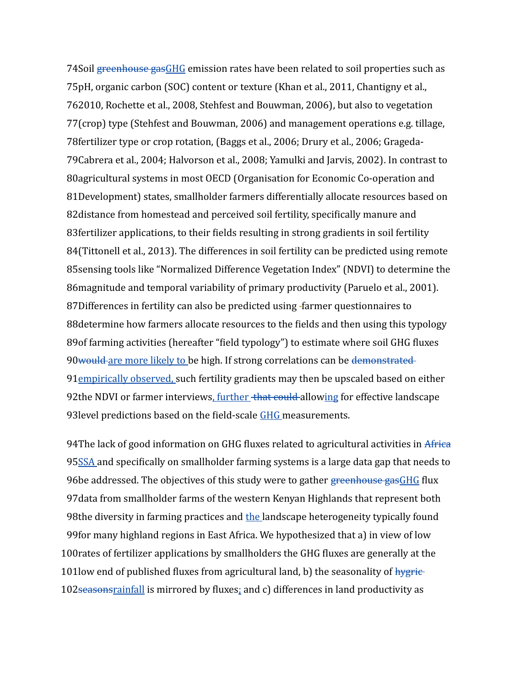74Soil greenhouse gas GHG emission rates have been related to soil properties such as 75pH, organic carbon (SOC) content or texture (Khan et al., 2011, Chantigny et al., 2010, Rochette et al., 2008, Stehfest and Bouwman, 2006), but also to vegetation 76 77(crop) type (Stehfest and Bouwman, 2006) and management operations e.g. tillage, 78 fertilizer type or crop rotation, (Baggs et al., 2006; Drury et al., 2006; Grageda-79Cabrera et al., 2004; Halvorson et al., 2008; Yamulki and Jarvis, 2002). In contrast to 80agricultural systems in most OECD (Organisation for Economic Co-operation and 81Development) states, smallholder farmers differentially allocate resources based on 82distance from homestead and perceived soil fertility, specifically manure and 83 fertilizer applications, to their fields resulting in strong gradients in soil fertility 84(Tittonell et al., 2013). The differences in soil fertility can be predicted using remote 85sensing tools like "Normalized Difference Vegetation Index" (NDVI) to determine the 86 magnitude and temporal variability of primary productivity (Paruelo et al., 2001). 87Differences in fertility can also be predicted using -farmer questionnaires to 88 determine how farmers allocate resources to the fields and then using this typology 89 of farming activities (hereafter "field typology") to estimate where soil GHG fluxes 90would are more likely to be high. If strong correlations can be demonstrated 91<sub>empirically observed, such fertility gradients may then be upscaled based on either</sub> 92the NDVI or farmer interviews, further that could allowing for effective landscape 93 level predictions based on the field-scale GHG measurements.

94The lack of good information on GHG fluxes related to agricultural activities in Africa 95SSA and specifically on smallholder farming systems is a large data gap that needs to 96be addressed. The objectives of this study were to gather <del>greenhouse gas</del>GHG flux 97 data from smallholder farms of the western Kenyan Highlands that represent both 98the diversity in farming practices and the landscape heterogeneity typically found 99 for many highland regions in East Africa. We hypothesized that a) in view of low 100 rates of fertilizer applications by smallholders the GHG fluxes are generally at the 101low end of published fluxes from agricultural land, b) the seasonality of hygric-102seasonsrainfall is mirrored by fluxes; and c) differences in land productivity as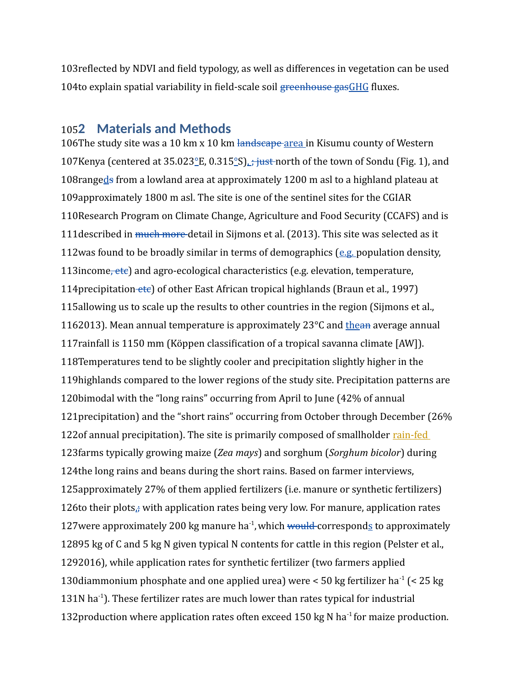103 reflected by NDVI and field typology, as well as differences in vegetation can be used 104to explain spatial variability in field-scale soil greenhouse gasGHG fluxes.

# **2 Materials and Methods** 105

106The study site was a 10 km x 10 km landscape area in Kisumu county of Western 107 Kenya (centered at 35.023 ° E, 0.315 ° S) *;* just north of the town of Sondu (Fig. 1), and 108rangeds from a lowland area at approximately 1200 m asl to a highland plateau at 109 approximately 1800 m asl. The site is one of the sentinel sites for the CGIAR 110 Research Program on Climate Change, Agriculture and Food Security (CCAFS) and is 111 described in much more detail in Sijmons et al. (2013). This site was selected as it 112 was found to be broadly similar in terms of demographics  $(e.g.$  population density, 113 income, etc) and agro-ecological characteristics (e.g. elevation, temperature, 114 precipitation etc) of other East African tropical highlands (Braun et al., 1997) 115 allowing us to scale up the results to other countries in the region (Sijmons et al., 1162013). Mean annual temperature is approximately 23°C and the a average annual 117 rainfall is 1150 mm (Köppen classification of a tropical savanna climate [AW]). 118 Temperatures tend to be slightly cooler and precipitation slightly higher in the 119 highlands compared to the lower regions of the study site. Precipitation patterns are 120bimodal with the "long rains" occurring from April to June (42% of annual 121 precipitation) and the "short rains" occurring from October through December (26% 122 of annual precipitation). The site is primarily composed of smallholder rain-fed 123 farms typically growing maize (Zea mays) and sorghum (Sorghum bicolor) during 124the long rains and beans during the short rains. Based on farmer interviews, 125 approximately 27% of them applied fertilizers (i.e. manure or synthetic fertilizers) 126 to their plots<sub>a</sub> with application rates being very low. For manure, application rates 127 were approximately 200 kg manure ha<sup>-1</sup>, which would corresponds to approximately 12895 kg of C and 5 kg N given typical N contents for cattle in this region (Pelster et al., 1292016), while application rates for synthetic fertilizer (two farmers applied 130 diammonium phosphate and one applied urea) were < 50 kg fertilizer ha<sup>-1</sup> (< 25 kg 131N ha $^{-1}$ ). These fertilizer rates are much lower than rates typical for industrial 132 production where application rates often exceed 150 kg N ha<sup>-1</sup> for maize production.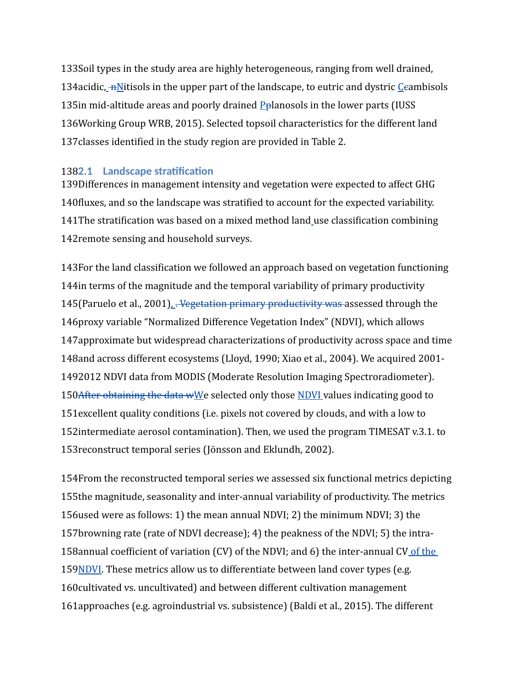133Soil types in the study area are highly heterogeneous, ranging from well drained, 134 acidic,  $\frac{mN}{1}$  tisols in the upper part of the landscape, to eutric and dystric *Leambisols* 135 in mid-altitude areas and poorly drained  $P<sub>p</sub>$  anosols in the lower parts (IUSS 136 Working Group WRB, 2015). Selected topsoil characteristics for the different land 137 classes identified in the study region are provided in Table 2.

## **2.1 Landscape stratification** 138

139Differences in management intensity and vegetation were expected to affect GHG 140 fluxes, and so the landscape was stratified to account for the expected variability. 141 The stratification was based on a mixed method land\_use classification combining 142 remote sensing and household surveys.

143For the land classification we followed an approach based on vegetation functioning 144 in terms of the magnitude and the temporal variability of primary productivity 145 (Paruelo et al., 2001). <del>Vegetation primary productivity was a</del>ssessed through the 146 proxy variable "Normalized Difference Vegetation Index" (NDVI), which allows 147 approximate but widespread characterizations of productivity across space and time 148and across different ecosystems (Lloyd, 1990; Xiao et al., 2004). We acquired 2001-1492012 NDVI data from MODIS (Moderate Resolution Imaging Spectroradiometer). 150After obtaining the data wWe selected only those NDVI values indicating good to 151 excellent quality conditions (i.e. pixels not covered by clouds, and with a low to 152intermediate aerosol contamination). Then, we used the program TIMESAT v.3.1. to 153 reconstruct temporal series (Jönsson and Eklundh, 2002).

154From the reconstructed temporal series we assessed six functional metrics depicting 155the magnitude, seasonality and inter-annual variability of productivity. The metrics 156 used were as follows: 1) the mean annual NDVI; 2) the minimum NDVI; 3) the 157browning rate (rate of NDVI decrease); 4) the peakness of the NDVI; 5) the intra-158 annual coefficient of variation (CV) of the NDVI; and 6) the inter-annual CV of the 159 NDVI. These metrics allow us to differentiate between land cover types (e.g. 160 cultivated vs. uncultivated) and between different cultivation management 161 approaches (e.g. agroindustrial vs. subsistence) (Baldi et al., 2015). The different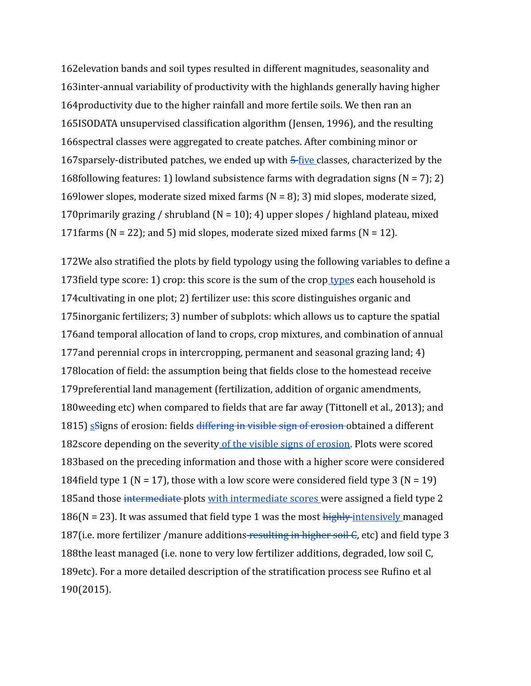162 elevation bands and soil types resulted in different magnitudes, seasonality and 163 inter-annual variability of productivity with the highlands generally having higher 164 productivity due to the higher rainfall and more fertile soils. We then ran an 165ISODATA unsupervised classification algorithm (Jensen, 1996), and the resulting 166 spectral classes were aggregated to create patches. After combining minor or 167 sparsely-distributed patches, we ended up with  $\frac{1}{2}$  five classes, characterized by the 168 following features: 1) lowland subsistence farms with degradation signs ( $N = 7$ ); 2) 169 lower slopes, moderate sized mixed farms  $(N = 8)$ ; 3) mid slopes, moderate sized, 170 primarily grazing / shrubland ( $N = 10$ ); 4) upper slopes / highland plateau, mixed 171 farms ( $N = 22$ ); and 5) mid slopes, moderate sized mixed farms ( $N = 12$ ).

172We also stratified the plots by field typology using the following variables to define a 173 field type score: 1) crop: this score is the sum of the crop types each household is 174 cultivating in one plot; 2) fertilizer use: this score distinguishes organic and 175 inorganic fertilizers; 3) number of subplots: which allows us to capture the spatial 176 and temporal allocation of land to crops, crop mixtures, and combination of annual 177 and perennial crops in intercropping, permanent and seasonal grazing land; 4) 178location of field: the assumption being that fields close to the homestead receive 179 preferential land management (fertilization, addition of organic amendments, 180 weeding etc) when compared to fields that are far away (Tittonell et al., 2013); and 1815) sagns of erosion: fields differing in visible sign of erosion obtained a different 182score depending on the severity of the visible signs of erosion. Plots were scored 183based on the preceding information and those with a higher score were considered 184 field type 1 (N = 17), those with a low score were considered field type 3 (N = 19) 185 and those intermediate plots with intermediate scores were assigned a field type 2  $186(N = 23)$ . It was assumed that field type 1 was the most  $\frac{h}{k}$  highly intensively managed 187(i.e. more fertilizer /manure additions resulting in higher soil  $\epsilon$ , etc) and field type 3 188the least managed (i.e. none to very low fertilizer additions, degraded, low soil C, 189etc). For a more detailed description of the stratification process see Rufino et al (2015). 190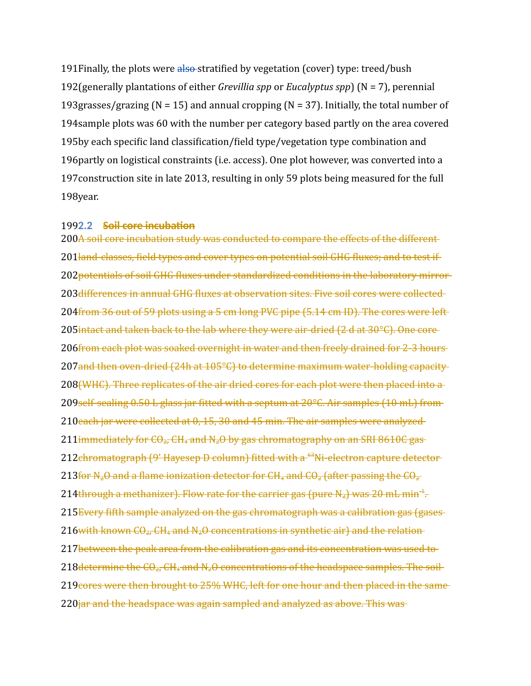191 Finally, the plots were also-stratified by vegetation (cover) type: treed/bush 192(generally plantations of either *Grevillia spp* or *Eucalyptus spp*) (N = 7), perennial 193 grasses/grazing ( $N = 15$ ) and annual cropping ( $N = 37$ ). Initially, the total number of 194 sample plots was 60 with the number per category based partly on the area covered 195by each specific land classification/field type/vegetation type combination and 196 partly on logistical constraints (i.e. access). One plot however, was converted into a 197 construction site in late 2013, resulting in only 59 plots being measured for the full 198year.

## **2.2 Soil core incubation** 199

200A soil core incubation study was conducted to compare the effects of the different 201 land-classes, field types and cover types on potential soil GHG fluxes; and to test if 202 potentials of soil GHG fluxes under standardized conditions in the laboratory mirror 203 differences in annual GHG fluxes at observation sites. Five soil cores were collected 204from 36 out of 59 plots using a 5 cm long PVC pipe (5.14 cm ID). The cores were left 205 intact and taken back to the lab where they were air-dried (2 d at 30°C). One core 206 from each plot was soaked overnight in water and then freely drained for 2-3 hours 207and then oven-dried (24h at 105°C) to determine maximum water-holding capacity 208 (WHC). Three replicates of the air dried cores for each plot were then placed into a 209self-sealing 0.50 L glass jar fitted with a septum at 20°C. Air samples (10 mL) from 210each jar were collected at 0, 15, 30 and 45 min. The air samples were analyzed 211 immediately for  $CO_{2}$ , CH<sub>4</sub> and N<sub>2</sub>O by gas chromatography on an SRI 8610C gas 212 chromatograph (9' Hayesep D column) fitted with a <sup>63</sup>Ni-electron capture detector 213 for N<sub>2</sub>O and a flame ionization detector for CH<sub>4</sub> and CO<sub>2</sub> (after passing the CO<sub>2</sub> 214 through a methanizer). Flow rate for the carrier gas (pure N<sub>2</sub>) was 20 mL min<sup>-1</sup>. 215 Every fifth sample analyzed on the gas chromatograph was a calibration gas (gases  $216$  with known  $CO_{27}$  CH<sub>4</sub> and N<sub>2</sub>O concentrations in synthetic air) and the relation 217 between the peak area from the calibration gas and its concentration was used to 218 determine the  $CO_{2}$ , CH<sub>4</sub> and N<sub>2</sub>O concentrations of the headspace samples. The soil 219 cores were then brought to 25% WHC, left for one hour and then placed in the same 220<del>jar and the headspace was again sampled and analyzed as above. This was</del>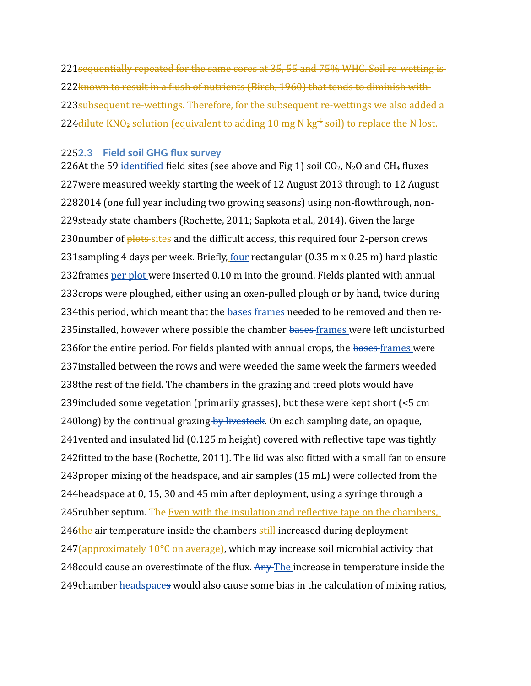221 sequentially repeated for the same cores at 35, 55 and 75% WHC. Soil re-wetting is 222known to result in a flush of nutrients (Birch, 1960) that tends to diminish with 223 subsequent re-wettings. Therefore, for the subsequent re-wettings we also added a 224 dilute KNO<sub>3</sub> solution (equivalent to adding 10 mg N kg<sup>-1</sup> soil) to replace the N lost.

## **2.3 Field soil GHG flux survey** 225

226At the 59 identified field sites (see above and Fig 1) soil CO<sub>2</sub>, N<sub>2</sub>O and CH<sub>4</sub> fluxes 227 were measured weekly starting the week of 12 August 2013 through to 12 August 2282014 (one full year including two growing seasons) using non-flowthrough, non-229 steady state chambers (Rochette, 2011; Sapkota et al., 2014). Given the large 230 number of plots sites and the difficult access, this required four 2-person crews 231 sampling 4 days per week. Briefly, four rectangular (0.35 m x 0.25 m) hard plastic 232 frames per plot were inserted 0.10 m into the ground. Fields planted with annual 233 crops were ploughed, either using an oxen-pulled plough or by hand, twice during 234this period, which meant that the bases frames needed to be removed and then re-235 installed, however where possible the chamber bases frames were left undisturbed 236 for the entire period. For fields planted with annual crops, the bases frames were 237 installed between the rows and were weeded the same week the farmers weeded 238the rest of the field. The chambers in the grazing and treed plots would have 239 included some vegetation (primarily grasses), but these were kept short (<5 cm 240long) by the continual grazing by livestock. On each sampling date, an opaque, 241 vented and insulated lid (0.125 m height) covered with reflective tape was tightly 242fitted to the base (Rochette, 2011). The lid was also fitted with a small fan to ensure 243 proper mixing of the headspace, and air samples (15 mL) were collected from the 244 headspace at 0, 15, 30 and 45 min after deployment, using a syringe through a 245 rubber septum. The Even with the insulation and reflective tape on the chambers, 246the air temperature inside the chambers still increased during deployment 247 (approximately 10<sup>o</sup>C on average), which may increase soil microbial activity that 248 could cause an overestimate of the flux. Any The increase in temperature inside the 249 chamber headspaces would also cause some bias in the calculation of mixing ratios,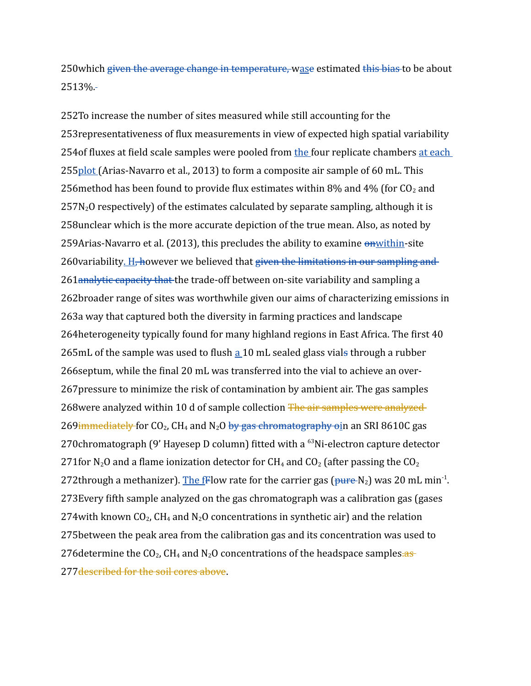250which <del>given the average change in temperature, w</del>ase estimated <del>this bias t</del>o be about 2513%.

252To increase the number of sites measured while still accounting for the 253 representativeness of flux measurements in view of expected high spatial variability 254 of fluxes at field scale samples were pooled from the four replicate chambers at each 255plot (Arias-Navarro et al., 2013) to form a composite air sample of 60 mL. This 256 method has been found to provide flux estimates within 8% and 4% (for  $CO_2$  and  $257N<sub>2</sub>O$  respectively) of the estimates calculated by separate sampling, although it is 258 unclear which is the more accurate depiction of the true mean. Also, as noted by 259Arias-Navarro et al. (2013), this precludes the ability to examine on within-site 260 variability. H, however we believed that given the limitations in our sampling and 261 analytic capacity that the trade-off between on-site variability and sampling a 262broader range of sites was worthwhile given our aims of characterizing emissions in 263a way that captured both the diversity in farming practices and landscape 264 heterogeneity typically found for many highland regions in East Africa. The first 40 265mL of the sample was used to flush a 10 mL sealed glass vials through a rubber 266 septum, while the final 20 mL was transferred into the vial to achieve an over-267 pressure to minimize the risk of contamination by ambient air. The gas samples 268 were analyzed within 10 d of sample collection The air samples were analyzed 269<del>immediately</del> for CO<sub>2</sub>, CH<sub>4</sub> and N<sub>2</sub>O <del>by gas chromatography o</del>in an SRI 8610C gas 270 $c$ chromatograph (9' Hayesep D column) fitted with a  $63$ Ni-electron capture detector 271 for N<sub>2</sub>O and a flame ionization detector for CH<sub>4</sub> and CO<sub>2</sub> (after passing the CO<sub>2</sub> 272through a methanizer). The fFlow rate for the carrier gas ( $\frac{\mu}{\mu}$ e-N<sub>2</sub>) was 20 mL min<sup>-1</sup>. 273 Every fifth sample analyzed on the gas chromatograph was a calibration gas (gases 274 with known CO<sub>2</sub>, CH<sub>4</sub> and N<sub>2</sub>O concentrations in synthetic air) and the relation 275 between the peak area from the calibration gas and its concentration was used to 276 determine the  $CO_2$ , CH<sub>4</sub> and N<sub>2</sub>O concentrations of the headspace samples.as 277 described for the soil cores above.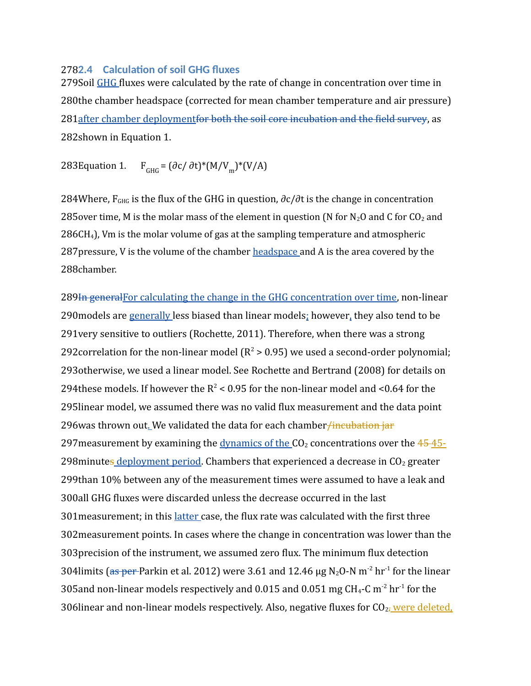## **2.4 Calculation of soil GHG fluxes** 278

279Soil GHG fluxes were calculated by the rate of change in concentration over time in 280the chamber headspace (corrected for mean chamber temperature and air pressure) 281 after chamber deploymentfor both the soil core incubation and the field survey, as 282shown in Equation 1.

#### 283 Equation 1. F  $_{\text{GHG}} = (\partial c / \partial t)^* (M/V_m)^* (V/A)$

284Where,  $F_{GHG}$  is the flux of the GHG in question,  $\partial c/\partial t$  is the change in concentration 285 over time, M is the molar mass of the element in question (N for N<sub>2</sub>O and C for CO<sub>2</sub> and  $286CH<sub>4</sub>$ ), Vm is the molar volume of gas at the sampling temperature and atmospheric 287 pressure, V is the volume of the chamber headspace and A is the area covered by the 288chamber.

289In general For calculating the change in the GHG concentration over time, non-linear 290 models are generally less biased than linear models; however, they also tend to be 291 very sensitive to outliers (Rochette, 2011). Therefore, when there was a strong 292 correlation for the non-linear model ( $R^2 > 0.95$ ) we used a second-order polynomial; 293 otherwise, we used a linear model. See Rochette and Bertrand (2008) for details on 294 these models. If however the  $R^2$  < 0.95 for the non-linear model and <0.64 for the 295 linear model, we assumed there was no valid flux measurement and the data point 296was thrown out. We validated the data for each chamber<del>/incubation jar</del> 297 measurement by examining the dynamics of the CO<sub>2</sub> concentrations over the 45-45-298 minutes deployment period. Chambers that experienced a decrease in CO<sub>2</sub> greater 299than 10% between any of the measurement times were assumed to have a leak and 300all GHG fluxes were discarded unless the decrease occurred in the last 301 measurement; in this latter case, the flux rate was calculated with the first three 302 measurement points. In cases where the change in concentration was lower than the 303 precision of the instrument, we assumed zero flux. The minimum flux detection 304limits (as per-Parkin et al. 2012) were 3.61 and 12.46  $\mu$ g N<sub>2</sub>O-N m<sup>-2</sup> hr<sup>-1</sup> for the linear 305 and non-linear models respectively and 0.015 and 0.051 mg CH<sub>4</sub>-C m<sup>-2</sup> hr<sup>-1</sup> for the 306linear and non-linear models respectively. Also, negative fluxes for CO<sub>27</sub> were deleted,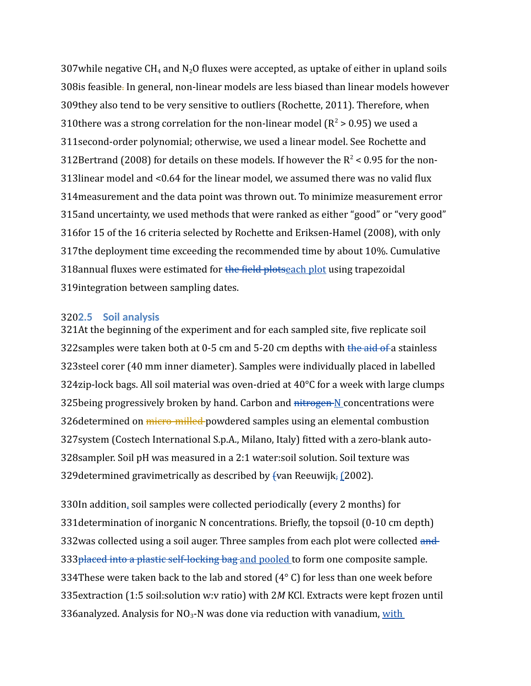307 while negative CH<sub>4</sub> and N<sub>2</sub>O fluxes were accepted, as uptake of either in upland soils 308is feasible. In general, non-linear models are less biased than linear models however 309they also tend to be very sensitive to outliers (Rochette, 2011). Therefore, when 310 there was a strong correlation for the non-linear model ( $R^2 > 0.95$ ) we used a 311 second-order polynomial; otherwise, we used a linear model. See Rochette and 312Bertrand (2008) for details on these models. If however the  $R^2$  < 0.95 for the non-313linear model and <0.64 for the linear model, we assumed there was no valid flux 314 measurement and the data point was thrown out. To minimize measurement error 315 and uncertainty, we used methods that were ranked as either "good" or "very good" 316 for 15 of the 16 criteria selected by Rochette and Eriksen-Hamel (2008), with only 317 the deployment time exceeding the recommended time by about 10%. Cumulative 318annual fluxes were estimated for the field plotseach plot using trapezoidal 319 integration between sampling dates.

## **2.5 Soil analysis** 320

321At the beginning of the experiment and for each sampled site, five replicate soil 322 samples were taken both at 0-5 cm and 5-20 cm depths with the aid of a stainless 323steel corer (40 mm inner diameter). Samples were individually placed in labelled 324zip-lock bags. All soil material was oven-dried at  $40^{\circ}$ C for a week with large clumps 325being progressively broken by hand. Carbon and nitrogen N concentrations were 326 determined on *micro-milled* powdered samples using an elemental combustion 327 system (Costech International S.p.A., Milano, Italy) fitted with a zero-blank auto-328 sampler. Soil pH was measured in a 2:1 water:soil solution. Soil texture was 329 determined gravimetrically as described by fvan Reeuwijk, [2002).

330In addition, soil samples were collected periodically (every 2 months) for 331 determination of inorganic N concentrations. Briefly, the topsoil (0-10 cm depth) 332was collected using a soil auger. Three samples from each plot were collected and 333 placed into a plastic self-locking bag and pooled to form one composite sample. 334 These were taken back to the lab and stored  $(4^{\circ}$  C) for less than one week before 335 extraction (1:5 soil:solution w:v ratio) with 2M KCl. Extracts were kept frozen until 336analyzed. Analysis for NO<sub>3</sub>-N was done via reduction with vanadium, with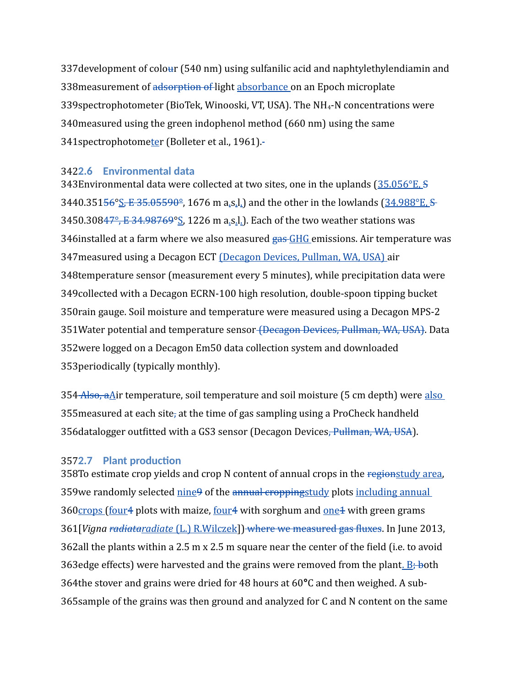337 development of colour (540 nm) using sulfanilic acid and naphtylethylendiamin and 338 measurement of adsorption of light absorbance on an Epoch microplate 339 spectrophotometer (BioTek, Winooski, VT, USA). The NH<sub>4</sub>-N concentrations were 340 measured using the green indophenol method (660 nm) using the same 341 spectrophotometer (Bolleter et al., 1961).

## **2.6 Environmental data** 342

343Environmental data were collected at two sites, one in the uplands (35.056°E, S 3440.351<del>56°S, E 35.05590°</del>, 1676 m a.s.l.) and the other in the lowlands (34.988°E, S 3450.30847°, E 34.98769°S, 1226 m a.s.l.). Each of the two weather stations was 346installed at a farm where we also measured gas GHG emissions. Air temperature was 347 measured using a Decagon ECT (Decagon Devices, Pullman, WA, USA) air 348 temperature sensor (measurement every 5 minutes), while precipitation data were 349 collected with a Decagon ECRN-100 high resolution, double-spoon tipping bucket 350 rain gauge. Soil moisture and temperature were measured using a Decagon MPS-2 351 Water potential and temperature sensor <del>(Decagon Devices, Pullman, WA, USA)</del>. Data 352 were logged on a Decagon Em50 data collection system and downloaded 353 periodically (typically monthly).

354 Also, a Air temperature, soil temperature and soil moisture (5 cm depth) were also 355 measured at each site, at the time of gas sampling using a ProCheck handheld 356datalogger outfitted with a GS3 sensor (Decagon Devices<del>, Pullman, WA, USA</del>).

## **2.7 Plant production** 357

358To estimate crop yields and crop N content of annual crops in the regionstudy area, 359we randomly selected nine 9 of the annual croppingstudy plots including annual 360<sub>Crops</sub> (four4 plots with maize, four4 with sorghum and <u>one</u>4 with green grams 361 [*Vigna radiataradiate* (L.) R.Wilczek]) where we measured gas fluxes. In June 2013, 362all the plants within a 2.5 m  $x$  2.5 m square near the center of the field (i.e. to avoid 363edge effects) were harvested and the grains were removed from the plant. B; both 364the stover and grains were dried for 48 hours at 60°C and then weighed. A sub-365 sample of the grains was then ground and analyzed for C and N content on the same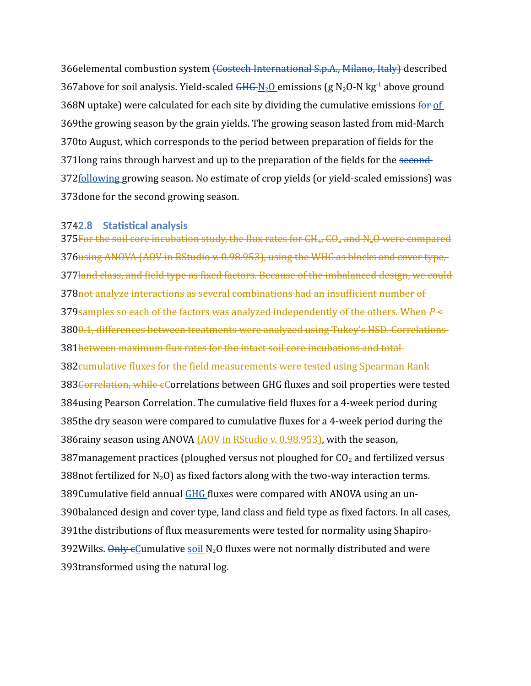366elemental combustion system <del>(Costech International S.p.A., Milano, Italy)</del> described 367above for soil analysis. Yield-scaled  $\frac{GHG(N_2O)}{H}$ emissions (g N<sub>2</sub>O-N kg<sup>-1</sup> above ground 368N uptake) were calculated for each site by dividing the cumulative emissions for of 369the growing season by the grain yields. The growing season lasted from mid-March 370 to August, which corresponds to the period between preparation of fields for the 371 long rains through harvest and up to the preparation of the fields for the second-372following growing season. No estimate of crop yields (or yield-scaled emissions) was 373done for the second growing season.

## **2.8 Statistical analysis** 374

375 For the soil core incubation study, the flux rates for CH<sub>4</sub>, CO<sub>2</sub> and N<sub>2</sub>O were compared 376 using ANOVA (AOV in RStudio v. 0.98.953), using the WHC as blocks and cover type, 377<del>land class, and field type as fixed factors. Because of the imbalanced design, we could</del> 378not analyze interactions as several combinations had an insufficient number of 379 samples so each of the factors was analyzed independently of the others. When  $P$  < 3800.1, differences between treatments were analyzed using Tukey's HSD. Correlations 381 between maximum flux rates for the intact soil core incubations and total 382 cumulative fluxes for the field measurements were tested using Spearman Rank 383 Correlation, while eCorrelations between GHG fluxes and soil properties were tested 384 using Pearson Correlation. The cumulative field fluxes for a 4-week period during 385the dry season were compared to cumulative fluxes for a 4-week period during the 386rainy season using ANOVA (AOV in RStudio v. 0.98.953), with the season, 387 management practices (ploughed versus not ploughed for  $CO<sub>2</sub>$  and fertilized versus 388 not fertilized for  $N_2O$ ) as fixed factors along with the two-way interaction terms. 389 Cumulative field annual GHG fluxes were compared with ANOVA using an un-390balanced design and cover type, land class and field type as fixed factors. In all cases, 391the distributions of flux measurements were tested for normality using Shapiro-392Wilks. Only eCumulative soil N<sub>2</sub>O fluxes were not normally distributed and were 393transformed using the natural log.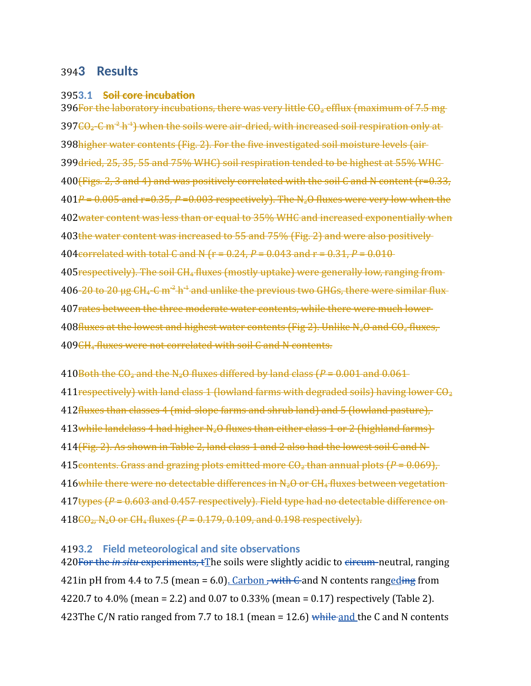# **3 Results** 394

## 3953.1 <del>Soil core incubation</del>

396 For the laboratory incubations, there was very little CO<sub>2</sub> efflux (maximum of 7.5 mg 397<del>CO<sub>2</sub>-C m<sup>-2</sup> h<sup>-1</sup>) when the soils were air-dried, with increased soil respiration only at</del> 398higher water contents (Fig. 2). For the five investigated soil moisture levels (air 399 dried, 25, 35, 55 and 75% WHC) soil respiration tended to be highest at 55% WHC 400<del>(Figs. 2, 3 and 4) and was positively correlated with the soil C and N content (r=0.33,</del>  $401P = 0.005$  and r=0.35,  $P = 0.003$  respectively). The N<sub>2</sub>O fluxes were very low when the 402<del>water content was less than or equal to 35% WHC and increased exponentially when</del> 403the water content was increased to 55 and 75% (Fig. 2) and were also positively 404 correlated with total C and N ( $r = 0.24$ ,  $P = 0.043$  and  $r = 0.31$ ,  $P = 0.010$ 405 respectively). The soil CH<sub>4</sub> fluxes (mostly uptake) were generally low, ranging from 406-<del>20 to 20  $\mu$ g CH<sub>4</sub>-C m<sup>-2</sup> h<sup>-1</sup> and unlike the previous two GHGs, there were similar flux</del> 407 rates between the three moderate water contents, while there were much lower  $408$ fluxes at the lowest and highest water contents (Fig 2). Unlike N<sub>2</sub>O and CO<sub>2</sub> fluxes, 409CH<sub>4</sub> fluxes were not correlated with soil C and N contents.

 $410$ Both the  $CO_2$  and the N<sub>2</sub>O fluxes differed by land class ( $P = 0.001$  and  $0.061$  $411$ respectively) with land class 1 (lowland farms with degraded soils) having lower CO<sub>2</sub> 412 fluxes than classes 4 (mid-slope farms and shrub land) and 5 (lowland pasture), 413while landclass 4 had higher N<sub>2</sub>O fluxes than either class 1 or 2 (highland farms) 414 (Fig. 2). As shown in Table 2, land class 1 and 2 also had the lowest soil C and N 415 contents. Grass and grazing plots emitted more  $CO<sub>2</sub>$  than annual plots ( $P = 0.069$ ),  $416$  while there were no detectable differences in N<sub>2</sub>O or CH<sub>4</sub> fluxes between vegetation 417types (P = 0.603 and 0.457 respectively). Field type had no detectable difference on 418<del>CO<sub>2</sub>, N<sub>2</sub>O or CH<sub>4</sub> fluxes (*P* = 0.179, 0.109, and 0.198 respectively).</del>

## **3.2 Field meteorological and site observations** 419

420 For the *in situ* experiments, tThe soils were slightly acidic to eircum-neutral, ranging 421in pH from 4.4 to 7.5 (mean = 6.0). Carbon , with C and N contents rangeding from 0.7 to 4.0% (mean = 2.2) and 0.07 to 0.33% (mean = 0.17) respectively (Table 2). 422 423The C/N ratio ranged from 7.7 to 18.1 (mean = 12.6) while and the C and N contents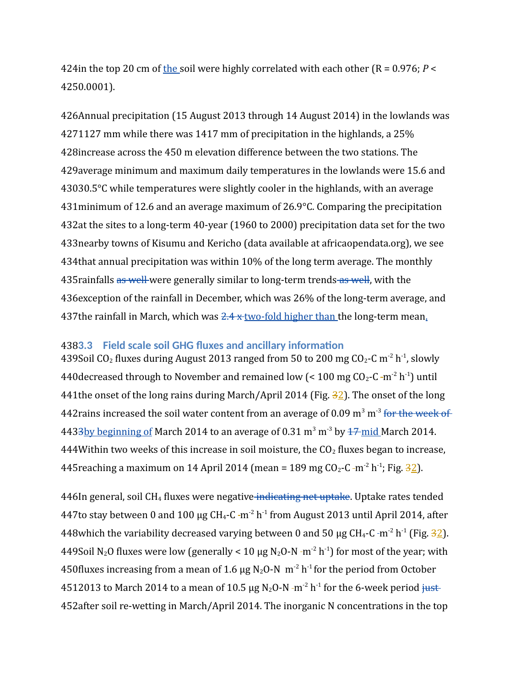424in the top 20 cm of the soil were highly correlated with each other ( $R = 0.976$ ;  $P <$ 4250.0001).

426Annual precipitation (15 August 2013 through 14 August 2014) in the lowlands was 1127 mm while there was 1417 mm of precipitation in the highlands, a 25% 427 428 increase across the 450 m elevation difference between the two stations. The 429 average minimum and maximum daily temperatures in the lowlands were 15.6 and 30.5°C while temperatures were slightly cooler in the highlands, with an average 430  $431$ minimum of 12.6 and an average maximum of 26.9 $\degree$ C. Comparing the precipitation 432at the sites to a long-term 40-year (1960 to 2000) precipitation data set for the two 433 nearby towns of Kisumu and Kericho (data available at africaopendata.org), we see 434 that annual precipitation was within 10% of the long term average. The monthly 435 rainfalls <del>as well </del>were generally similar to long-term trends as well, with the 436 exception of the rainfall in December, which was 26% of the long-term average, and 437the rainfall in March, which was <del>2.4 x two-fold higher than t</del>he long-term mean<u>.</u>

## **3.3 Field scale soil GHG fluxes and ancillary information** 438

439Soil CO<sub>2</sub> fluxes during August 2013 ranged from 50 to 200 mg CO<sub>2</sub>-C m<sup>-2</sup> h<sup>-1</sup>, slowly 440 decreased through to November and remained low (< 100 mg CO<sub>2</sub>-C -m<sup>-2</sup> h<sup>-1</sup>) until 441 the onset of the long rains during March/April 2014 (Fig. 32). The onset of the long 442 rains increased the soil water content from an average of 0.09 m<sup>3</sup> m<sup>-3</sup> for the week of 4433by beginning of March 2014 to an average of 0.31 m<sup>3</sup> m<sup>-3</sup> by <del>17 mid</del> March 2014. 444 Within two weeks of this increase in soil moisture, the  $CO<sub>2</sub>$  fluxes began to increase, 445 reaching a maximum on 14 April 2014 (mean = 189 mg CO<sub>2</sub>-C -m<sup>-2</sup> h<sup>-1</sup>; Fig. 32).

446In general, soil CH<sub>4</sub> fluxes were negative indicating net uptake. Uptake rates tended 447to stay between 0 and 100 µg CH<sub>4</sub>-C -m<sup>-2</sup> h<sup>-1</sup> from August 2013 until April 2014, after 448 which the variability decreased varying between 0 and 50 µg CH<sub>4</sub>-C -m<sup>-2</sup> h<sup>-1</sup> (Fig.  $\frac{32}{2}$ ). 449Soil N<sub>2</sub>O fluxes were low (generally < 10 µg N<sub>2</sub>O-N -m<sup>-2</sup> h<sup>-1</sup>) for most of the year; with 450 fluxes increasing from a mean of 1.6  $\mu$ g N<sub>2</sub>O-N m<sup>-2</sup> h<sup>-1</sup> for the period from October 4512013 to March 2014 to a mean of 10.5  $\mu$ g N<sub>2</sub>O-N -m<sup>-2</sup> h<sup>-1</sup> for the 6-week period just-452 after soil re-wetting in March/April 2014. The inorganic N concentrations in the top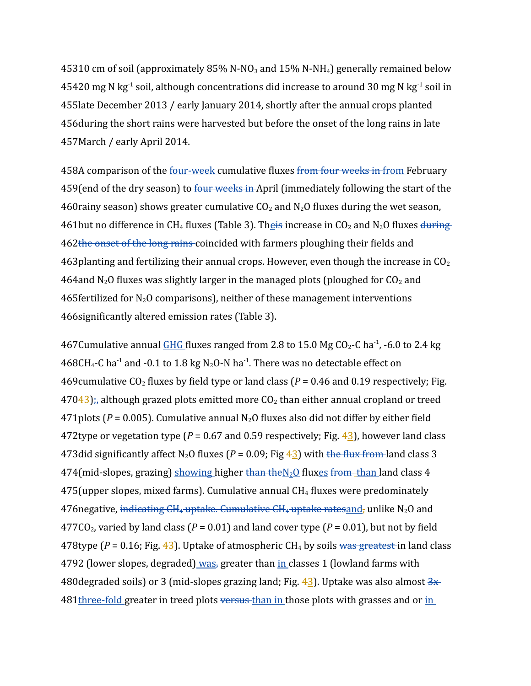45310 cm of soil (approximately 85% N-NO<sub>3</sub> and 15% N-NH<sub>4</sub>) generally remained below 45420 mg N kg<sup>-1</sup> soil, although concentrations did increase to around 30 mg N kg<sup>-1</sup> soil in 455 late December 2013 / early January 2014, shortly after the annual crops planted 456 during the short rains were harvested but before the onset of the long rains in late 457 March / early April 2014.

458A comparison of the <u>four-week</u> cumulative fluxes <del>from four weeks in from</del> February 459(end of the dry season) to <del>four weeks in </del>April (immediately following the start of the 460 rainy season) shows greater cumulative  $CO_2$  and  $N_2O$  fluxes during the wet season, 461but no difference in CH<sub>4</sub> fluxes (Table 3). Th<u>eis</u> increase in CO<sub>2</sub> and N<sub>2</sub>O fluxes <del>during</del> 462the onset of the long rains coincided with farmers ploughing their fields and 463 planting and fertilizing their annual crops. However, even though the increase in CO<sub>2</sub> 464 and N<sub>2</sub>O fluxes was slightly larger in the managed plots (ploughed for  $CO_2$  and 465 fertilized for  $N_2O$  comparisons), neither of these management interventions 466 significantly altered emission rates (Table 3).

467Cumulative annual  $GHG$  fluxes ranged from 2.8 to 15.0 Mg CO<sub>2</sub>-C ha<sup>-1</sup>, -6.0 to 2.4 kg 468CH<sub>4</sub>-C ha<sup>-1</sup> and -0.1 to 1.8 kg N<sub>2</sub>O-N ha<sup>-1</sup>. There was no detectable effect on 469 cumulative  $CO<sub>2</sub>$  fluxes by field type or land class ( $P = 0.46$  and 0.19 respectively; Fig.  $47043$ ); although grazed plots emitted more CO<sub>2</sub> than either annual cropland or treed 471 plots ( $P = 0.005$ ). Cumulative annual N<sub>2</sub>O fluxes also did not differ by either field 472 type or vegetation type ( $P = 0.67$  and 0.59 respectively; Fig.  $4/3$ ), however land class 473did significantly affect N<sub>2</sub>O fluxes ( $P = 0.09$ ; Fig  $4\frac{3}{2}$ ) with the flux from land class 3 474(mid-slopes, grazing) showing higher than the N<sub>2</sub>O fluxes from than land class 4  $475$ (upper slopes, mixed farms). Cumulative annual CH<sub>4</sub> fluxes were predominately 476negative, <del>indicating CH<sub>4</sub> uptake. Cumulative CH<sub>4</sub> uptake ratesand,</del> unlike N<sub>2</sub>O and  $477CO<sub>2</sub>$ , varied by land class ( $P = 0.01$ ) and land cover type ( $P = 0.01$ ), but not by field 478type (*P* = 0.16; Fig. 43). Uptake of atmospheric CH<sub>4</sub> by soils was greatest in land class 4792 (lower slopes, degraded) was, greater than in classes 1 (lowland farms with 480degraded soils) or 3 (mid-slopes grazing land; Fig. 43). Uptake was also almost 3x 481 three-fold greater in treed plots <del>versus than in t</del>hose plots with grasses and or in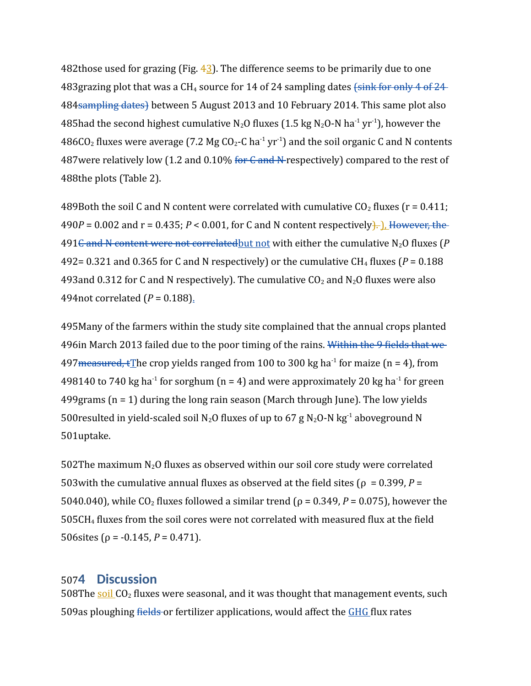482 those used for grazing (Fig.  $42$ ). The difference seems to be primarily due to one 483 grazing plot that was a CH<sub>4</sub> source for 14 of 24 sampling dates (sink for only 4 of 24 484 Sampling dates) between 5 August 2013 and 10 February 2014. This same plot also 485had the second highest cumulative N<sub>2</sub>O fluxes (1.5 kg N<sub>2</sub>O-N ha<sup>-1</sup> yr<sup>-1</sup>), however the 486CO<sub>2</sub> fluxes were average (7.2 Mg CO<sub>2</sub>-C ha<sup>-1</sup> yr<sup>-1</sup>) and the soil organic C and N contents 487were relatively low (1.2 and 0.10% <del>for C and N</del>-respectively) compared to the rest of 488the plots (Table 2).

489Both the soil C and N content were correlated with cumulative  $CO<sub>2</sub>$  fluxes ( $r = 0.411$ ;  $490P = 0.002$  and  $r = 0.435$ ;  $P < 0.001$ , for C and N content respectively<del>].</del> LHowever, the 491<del>C and N content were not correlated</del> but not with either the cumulative N<sub>2</sub>O fluxes (P 492= 0.321 and 0.365 for C and N respectively) or the cumulative CH<sub>4</sub> fluxes ( $P = 0.188$ 493 and 0.312 for C and N respectively). The cumulative  $CO_2$  and  $N_2O$  fluxes were also 494not correlated (*P* = 0.188).

495 Many of the farmers within the study site complained that the annual crops planted 496in March 2013 failed due to the poor timing of the rains. Within the 9 fields that we 497 measured,  $t$ The crop yields ranged from 100 to 300 kg ha<sup>-1</sup> for maize (n = 4), from 498140 to 740 kg ha<sup>-1</sup> for sorghum (n = 4) and were approximately 20 kg ha<sup>-1</sup> for green  $499$ grams (n = 1) during the long rain season (March through June). The low yields 500 resulted in yield-scaled soil N<sub>2</sub>O fluxes of up to 67 g N<sub>2</sub>O-N kg<sup>-1</sup> aboveground N 501uptake.

502The maximum  $N_2O$  fluxes as observed within our soil core study were correlated 503 with the cumulative annual fluxes as observed at the field sites ( $\rho = 0.399$ ,  $P =$ 5040.040), while CO<sub>2</sub> fluxes followed a similar trend ( $\rho$  = 0.349, *P* = 0.075), however the  $505CH<sub>4</sub>$  fluxes from the soil cores were not correlated with measured flux at the field  $506$ sites ( $\rho = -0.145$ ,  $P = 0.471$ ).

# **4 Discussion** 507

508The soil CO<sub>2</sub> fluxes were seasonal, and it was thought that management events, such 509as ploughing fields or fertilizer applications, would affect the GHG flux rates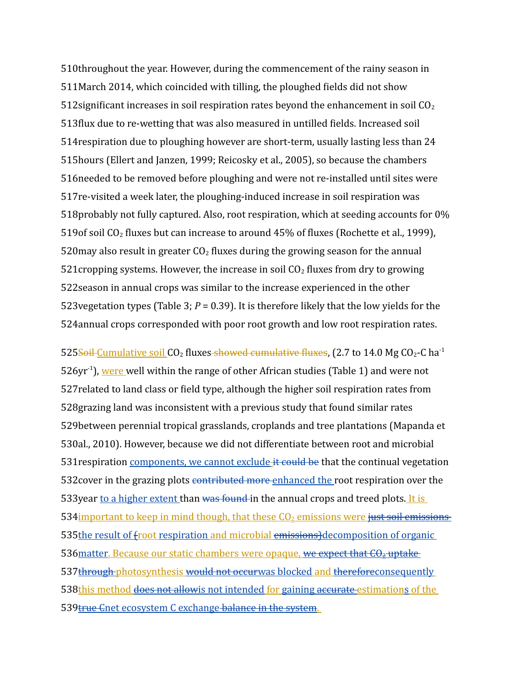510throughout the year. However, during the commencement of the rainy season in 511 March 2014, which coincided with tilling, the ploughed fields did not show 512 significant increases in soil respiration rates beyond the enhancement in soil  $CO<sub>2</sub>$ 513 flux due to re-wetting that was also measured in untilled fields. Increased soil 514 respiration due to ploughing however are short-term, usually lasting less than 24 515hours (Ellert and Janzen, 1999; Reicosky et al., 2005), so because the chambers 516 needed to be removed before ploughing and were not re-installed until sites were 517 re-visited a week later, the ploughing-induced increase in soil respiration was 518 probably not fully captured. Also, root respiration, which at seeding accounts for 0% 519 of soil CO<sub>2</sub> fluxes but can increase to around  $45\%$  of fluxes (Rochette et al., 1999), 520 may also result in greater  $CO<sub>2</sub>$  fluxes during the growing season for the annual 521 cropping systems. However, the increase in soil  $CO<sub>2</sub>$  fluxes from dry to growing 522 season in annual crops was similar to the increase experienced in the other 523 vegetation types (Table 3;  $P = 0.39$ ). It is therefore likely that the low yields for the 524 annual crops corresponded with poor root growth and low root respiration rates.

525<del>Soil Cumulative soil</del> CO<sub>2</sub> fluxes<del> showed cumulative fluxes</del>, (2.7 to 14.0 Mg CO<sub>2</sub>-C ha<sup>-1</sup> 526yr<sup>-1</sup>), were well within the range of other African studies (Table 1) and were not 527 related to land class or field type, although the higher soil respiration rates from 528 grazing land was inconsistent with a previous study that found similar rates 529between perennial tropical grasslands, croplands and tree plantations (Mapanda et 530al., 2010). However, because we did not differentiate between root and microbial 531 respiration components, we cannot exclude it could be that the continual vegetation 532 cover in the grazing plots contributed more enhanced the root respiration over the 533 year to a higher extent than was found in the annual crops and treed plots. It is 534 important to keep in mind though, that these CO<sub>2</sub> emissions were just soil emissions 535the result of froot respiration and microbial emissions) decomposition of organic 536 matter. Because our static chambers were opaque, we expect that CO<sub>2</sub> uptake 537 through photosynthesis would not occurwas blocked and thereforeconsequently 538this method does not allowis not intended for gaining accurate estimations of the 539<del>true C</del>net ecosystem C exchange balance in the system.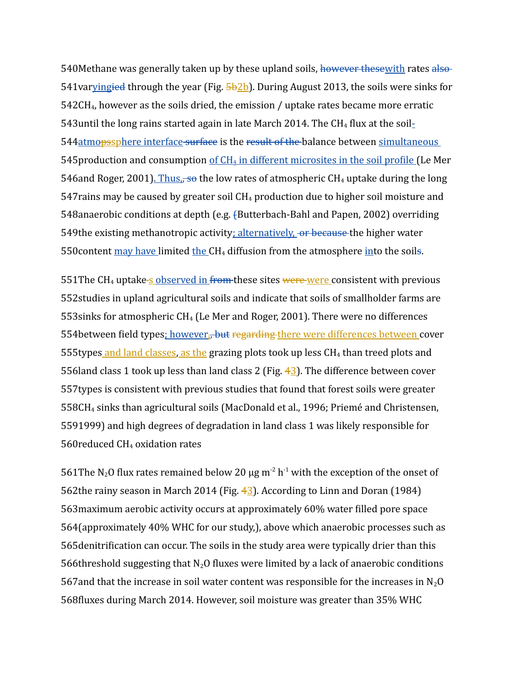540Methane was generally taken up by these upland soils, however thesewith rates also-541var<u>ying<del>ied</del> through the year (Fig. 5b2b</u>). During August 2013, the soils were sinks for  $542CH<sub>4</sub>$ , however as the soils dried, the emission / uptake rates became more erratic 543 until the long rains started again in late March 2014. The CH<sub>4</sub> flux at the soil-544 atmopssphere interface surface is the result of the balance between simultaneous 545 production and consumption of CH<sub>4</sub> in different microsites in the soil profile (Le Mer 546and Roger, 2001). Thus,<del>, so</del> the low rates of atmospheric CH<sub>4</sub> uptake during the long  $547$ rains may be caused by greater soil  $CH_4$  production due to higher soil moisture and 548anaerobic conditions at depth (e.g. {Butterbach-Bahl and Papen, 2002) overriding 549the existing methanotropic activity; alternatively, or because the higher water 550 content may have limited the CH<sub>4</sub> diffusion from the atmosphere into the soils.

551 The CH<sub>4</sub> uptake-s observed in from these sites were were consistent with previous 552 studies in upland agricultural soils and indicate that soils of smallholder farms are  $553$ sinks for atmospheric CH<sub>4</sub> (Le Mer and Roger, 2001). There were no differences 554between field types<u>; however,, but <del>regarding t</del>here were differences between c</u>over 555types and land classes, as the grazing plots took up less CH<sub>4</sub> than treed plots and 556 land class 1 took up less than land class 2 (Fig.  $42$ ). The difference between cover 557 types is consistent with previous studies that found that forest soils were greater 558CH<sub>4</sub> sinks than agricultural soils (MacDonald et al., 1996; Priemé and Christensen, 5591999) and high degrees of degradation in land class 1 was likely responsible for 560 reduced CH<sub>4</sub> oxidation rates

561 The N<sub>2</sub>O flux rates remained below 20  $\mu$ g m<sup>-2</sup> h<sup>-1</sup> with the exception of the onset of 562 the rainy season in March 2014 (Fig.  $4/3$ ). According to Linn and Doran (1984) 563 maximum aerobic activity occurs at approximately 60% water filled pore space 564 (approximately 40% WHC for our study,), above which anaerobic processes such as 565 denitrification can occur. The soils in the study area were typically drier than this 566threshold suggesting that  $N_2O$  fluxes were limited by a lack of anaerobic conditions 567 and that the increase in soil water content was responsible for the increases in  $N_2O$ 568fluxes during March 2014. However, soil moisture was greater than 35% WHC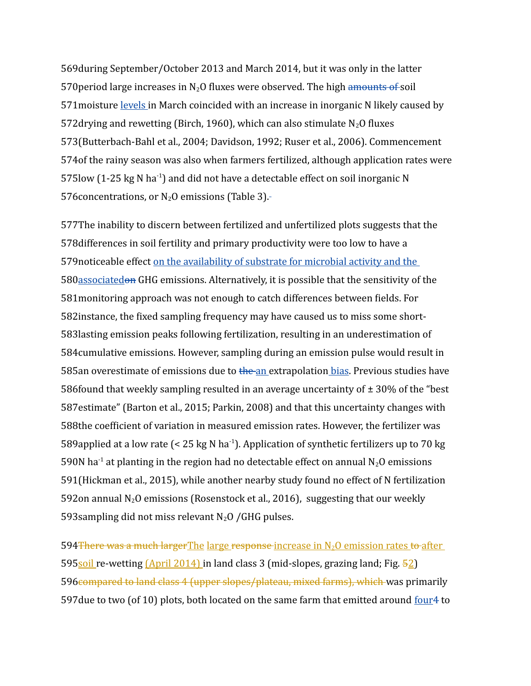569 during September/October 2013 and March 2014, but it was only in the latter 570 period large increases in N<sub>2</sub>O fluxes were observed. The high amounts of soil 571 moisture levels in March coincided with an increase in inorganic N likely caused by 572 drying and rewetting (Birch, 1960), which can also stimulate  $N_2O$  fluxes 573(Butterbach-Bahl et al., 2004; Davidson, 1992; Ruser et al., 2006). Commencement 574 of the rainy season was also when farmers fertilized, although application rates were 575low (1-25 kg N ha<sup>-1</sup>) and did not have a detectable effect on soil inorganic N 576 concentrations, or  $N_2O$  emissions (Table 3).

577The inability to discern between fertilized and unfertilized plots suggests that the 578 differences in soil fertility and primary productivity were too low to have a 579 noticeable effect on the availability of substrate for microbial activity and the 580associatedon GHG emissions. Alternatively, it is possible that the sensitivity of the 581 monitoring approach was not enough to catch differences between fields. For 582 instance, the fixed sampling frequency may have caused us to miss some short-583 lasting emission peaks following fertilization, resulting in an underestimation of 584 cumulative emissions. However, sampling during an emission pulse would result in 585an overestimate of emissions due to the an extrapolation bias. Previous studies have 586 found that weekly sampling resulted in an average uncertainty of  $\pm$  30% of the "best 587 estimate" (Barton et al., 2015; Parkin, 2008) and that this uncertainty changes with 588the coefficient of variation in measured emission rates. However, the fertilizer was 589 applied at a low rate (< 25 kg N ha<sup>-1</sup>). Application of synthetic fertilizers up to 70 kg 590N ha<sup>-1</sup> at planting in the region had no detectable effect on annual  $N_2O$  emissions 591 (Hickman et al., 2015), while another nearby study found no effect of N fertilization 592on annual N<sub>2</sub>O emissions (Rosenstock et al., 2016), suggesting that our weekly 593 sampling did not miss relevant  $N_2O$  / GHG pulses.

594 There was a much larger The large response increase in N<sub>2</sub>O emission rates to after 595soil re-wetting (April 2014) in land class 3 (mid-slopes, grazing land; Fig. 52) 596 compared to land class 4 (upper slopes/plateau, mixed farms), which was primarily 597 due to two (of 10) plots, both located on the same farm that emitted around four<sup>4</sup> to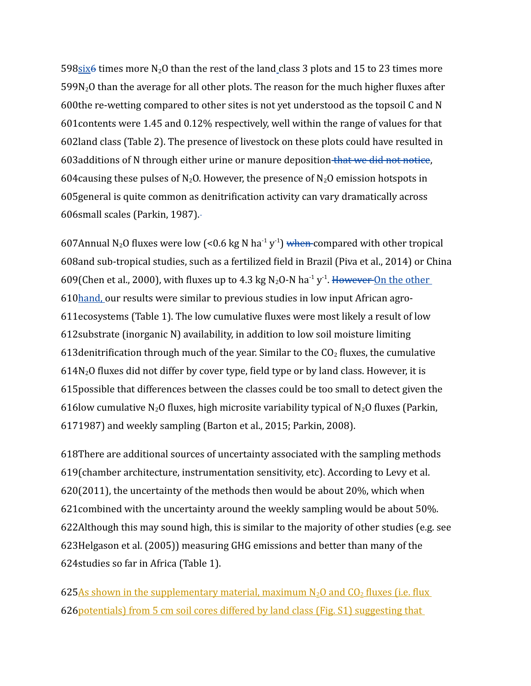598 $\frac{\sin 6}{5}$  times more N<sub>2</sub>O than the rest of the land\_class 3 plots and 15 to 23 times more  $599N<sub>2</sub>O$  than the average for all other plots. The reason for the much higher fluxes after  $600$ the re-wetting compared to other sites is not yet understood as the topsoil C and N 601 contents were 1.45 and 0.12% respectively, well within the range of values for that 602land class (Table 2). The presence of livestock on these plots could have resulted in 603 additions of N through either urine or manure deposition that we did not notice, 604 causing these pulses of  $N_2O$ . However, the presence of  $N_2O$  emission hotspots in 605 general is quite common as denitrification activity can vary dramatically across 606small scales (Parkin, 1987).

607Annual N<sub>2</sub>O fluxes were low (<0.6 kg N ha<sup>-1</sup> y<sup>-1</sup>) when compared with other tropical 608and sub-tropical studies, such as a fertilized field in Brazil (Piva et al., 2014) or China 609(Chen et al., 2000), with fluxes up to 4.3 kg N<sub>2</sub>O-N ha<sup>-1</sup> y<sup>-1</sup>. However On the other 610**hand**, our results were similar to previous studies in low input African agro-611ecosystems (Table 1). The low cumulative fluxes were most likely a result of low 612 substrate (inorganic N) availability, in addition to low soil moisture limiting 613 denitrification through much of the year. Similar to the  $CO<sub>2</sub>$  fluxes, the cumulative  $614N<sub>2</sub>O$  fluxes did not differ by cover type, field type or by land class. However, it is 615 possible that differences between the classes could be too small to detect given the 616low cumulative N<sub>2</sub>O fluxes, high microsite variability typical of N<sub>2</sub>O fluxes (Parkin, 1987) and weekly sampling (Barton et al., 2015; Parkin, 2008). 617

618There are additional sources of uncertainty associated with the sampling methods 619 (chamber architecture, instrumentation sensitivity, etc). According to Levy et al.  $620(2011)$ , the uncertainty of the methods then would be about 20%, which when 621 combined with the uncertainty around the weekly sampling would be about 50%. 622Although this may sound high, this is similar to the majority of other studies (e.g. see 623Helgason et al. (2005)) measuring GHG emissions and better than many of the 624 studies so far in Africa (Table 1).

625As shown in the supplementary material, maximum  $N_2O$  and  $CO_2$  fluxes (i.e. flux 626 potentials) from 5 cm soil cores differed by land class (Fig. S1) suggesting that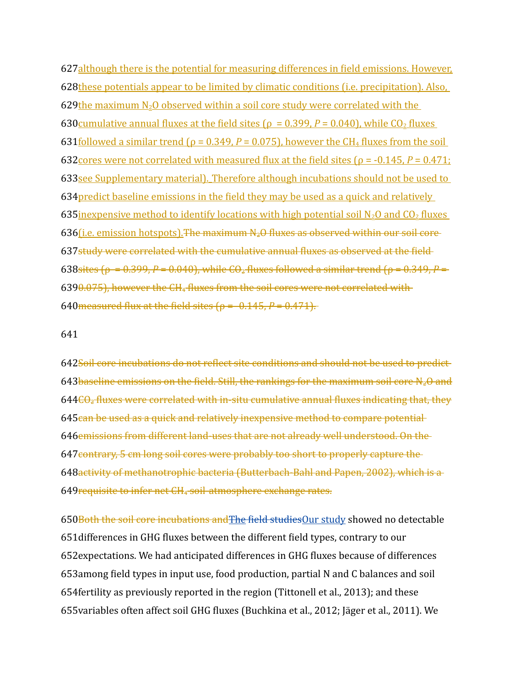627although there is the potential for measuring differences in field emissions. However, 628these potentials appear to be limited by climatic conditions (i.e. precipitation). Also, 629the maximum  $N_2O$  observed within a soil core study were correlated with the 630 cumulative annual fluxes at the field sites ( $\rho = 0.399$ ,  $P = 0.040$ ), while CO<sub>2</sub> fluxes 631 <u>followed a similar trend ( $\rho = 0.349$ ,  $P = 0.075$ )</u>, however the CH<sub>4</sub> fluxes from the soil 632 cores were not correlated with measured flux at the field sites ( $\rho = -0.145$ ,  $P = 0.471$ ; 633see Supplementary material). Therefore although incubations should not be used to 634 predict baseline emissions in the field they may be used as a quick and relatively 635 inexpensive method to identify locations with high potential soil  $N_2O$  and  $CO_2$  fluxes 636(*i.e. emission hotspots*). The maximum  $N_zO$  fluxes as observed within our soil core 637study were correlated with the cumulative annual fluxes as observed at the field 638sites ( $\rho = 0.399$ , *P* = 0.040), while CO<sub>2</sub> fluxes followed a similar trend ( $\rho = 0.349$ , *P* =  $6390.075$ ), however the  $CH_4$  fluxes from the soil cores were not correlated with 640 measured flux at the field sites  $(\rho = -0.145, P = 0.471)$ .

#### 641

642Soil core incubations do not reflect site conditions and should not be used to predict 643 baseline emissions on the field. Still, the rankings for the maximum soil core N<sub>2</sub>O and 644<del>CO<sub>2</sub> fluxes were correlated with in-situ cumulative annual fluxes indicating that, they</del> 645can be used as a quick and relatively inexpensive method to compare potential 646 emissions from different land-uses that are not already well understood. On the 647 contrary, 5 cm long soil cores were probably too short to properly capture the 648activity of methanotrophic bacteria (Butterbach-Bahl and Papen, 2002), which is a 649 requisite to infer net CH<sub>4</sub> soil-atmosphere exchange rates.

650Both the soil core incubations and The field studies Our study showed no detectable 651 differences in GHG fluxes between the different field types, contrary to our 652 expectations. We had anticipated differences in GHG fluxes because of differences 653among field types in input use, food production, partial N and C balances and soil 654 fertility as previously reported in the region (Tittonell et al., 2013); and these 655 variables often affect soil GHG fluxes (Buchkina et al., 2012; Jäger et al., 2011). We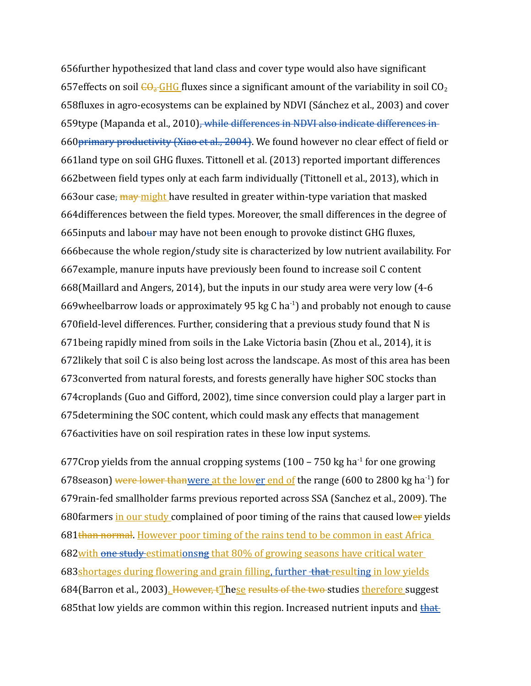656 further hypothesized that land class and cover type would also have significant 657 effects on soil  $\frac{1}{2}$ CHG fluxes since a significant amount of the variability in soil CO<sub>2</sub> 658fluxes in agro-ecosystems can be explained by NDVI (Sánchez et al., 2003) and cover 659type (Mapanda et al., 2010)<del>, while differences in NDVI also indicate differences in</del> 660 primary productivity (Xiao et al., 2004). We found however no clear effect of field or 661land type on soil GHG fluxes. Tittonell et al. (2013) reported important differences 662between field types only at each farm individually (Tittonell et al., 2013), which in 663our case<del>, may might</del> have resulted in greater within-type variation that masked 664 differences between the field types. Moreover, the small differences in the degree of 665 inputs and labour may have not been enough to provoke distinct GHG fluxes, 666because the whole region/study site is characterized by low nutrient availability. For 667 example, manure inputs have previously been found to increase soil C content  $668$ (Maillard and Angers, 2014), but the inputs in our study area were very low (4-6 669wheelbarrow loads or approximately 95 kg C ha $^{-1}$ ) and probably not enough to cause 670 field-level differences. Further, considering that a previous study found that N is 671 being rapidly mined from soils in the Lake Victoria basin (Zhou et al., 2014), it is 672likely that soil C is also being lost across the landscape. As most of this area has been 673 converted from natural forests, and forests generally have higher SOC stocks than 674 croplands (Guo and Gifford, 2002), time since conversion could play a larger part in 675 determining the SOC content, which could mask any effects that management 676 activities have on soil respiration rates in these low input systems.

677 Crop yields from the annual cropping systems  $(100 - 750 \text{ kg ha}^{-1})$  for one growing 678 season) were lower thanwere at the lower end of the range (600 to 2800 kg ha<sup>-1</sup>) for 679 rain-fed smallholder farms previous reported across SSA (Sanchez et al., 2009). The 680 farmers in our study complained of poor timing of the rains that caused lower yields 681than normal. However poor timing of the rains tend to be common in east Africa 682 with one study estimationsng that 80% of growing seasons have critical water 683 shortages during flowering and grain filling, further that resulting in low yields 684(Barron et al., 2003). However, tThese results of the two studies therefore suggest 685 that low yields are common within this region. Increased nutrient inputs and that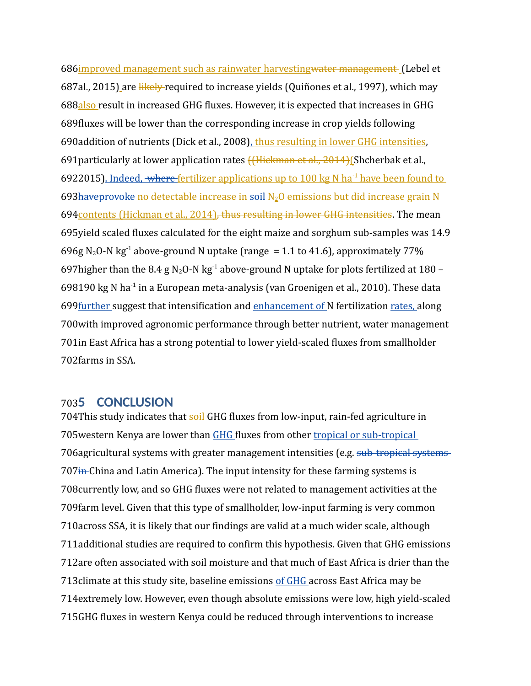686 improved management such as rainwater harvesting water management (Lebel et 687al., 2015) are likely required to increase yields (Quiñones et al., 1997), which may 688also result in increased GHG fluxes. However, it is expected that increases in GHG 689 fluxes will be lower than the corresponding increase in crop yields following 690addition of nutrients (Dick et al., 2008), thus resulting in lower GHG intensities, 691 particularly at lower application rates <del>((Hickman et al., 2014)</del> (Shcherbak et al., 6922015). Indeed, where fertilizer applications up to 100 kg N ha<sup>-1</sup> have been found to 693 have provoke no detectable increase in soil N<sub>2</sub>O emissions but did increase grain N 694 contents (Hickman et al., 2014), thus resulting in lower GHG intensities. The mean 695 yield scaled fluxes calculated for the eight maize and sorghum sub-samples was 14.9 696g N<sub>2</sub>O-N kg<sup>-1</sup> above-ground N uptake (range = 1.1 to 41.6), approximately 77% 697 higher than the 8.4 g N<sub>2</sub>O-N kg<sup>-1</sup> above-ground N uptake for plots fertilized at 180 – 698190 kg N ha<sup>-1</sup> in a European meta-analysis (van Groenigen et al., 2010). These data 699 <u>further</u> suggest that intensification and enhancement of N fertilization rates, along 700 with improved agronomic performance through better nutrient, water management 701 in East Africa has a strong potential to lower yield-scaled fluxes from smallholder 702farms in SSA.

# **5 CONCLUSION** 703

704This study indicates that soil GHG fluxes from low-input, rain-fed agriculture in 705 western Kenya are lower than GHG fluxes from other tropical or sub-tropical 706 agricultural systems with greater management intensities (e.g. sub-tropical systems 707<del>in</del> China and Latin America). The input intensity for these farming systems is 708 currently low, and so GHG fluxes were not related to management activities at the 709 farm level. Given that this type of smallholder, low-input farming is very common 710 across SSA, it is likely that our findings are valid at a much wider scale, although 711 additional studies are required to confirm this hypothesis. Given that GHG emissions 712are often associated with soil moisture and that much of East Africa is drier than the 713 climate at this study site, baseline emissions of GHG across East Africa may be 714 extremely low. However, even though absolute emissions were low, high yield-scaled 715GHG fluxes in western Kenya could be reduced through interventions to increase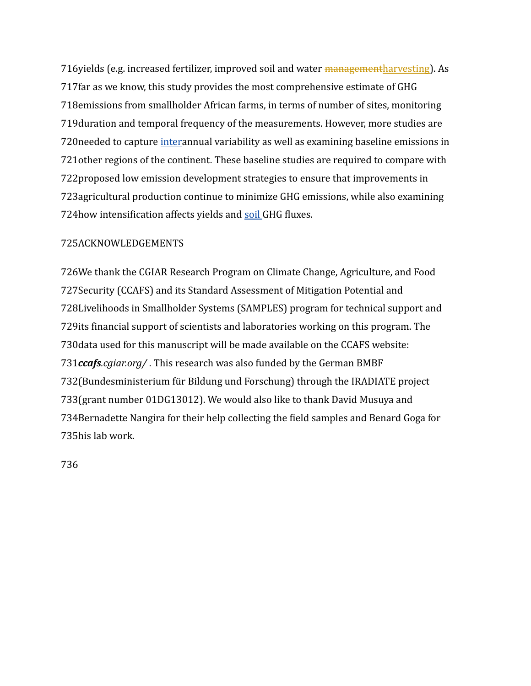716yields (e.g. increased fertilizer, improved soil and water managementharvesting). As 717 far as we know, this study provides the most comprehensive estimate of GHG 718 emissions from smallholder African farms, in terms of number of sites, monitoring 719 duration and temporal frequency of the measurements. However, more studies are 720 needed to capture *interannual variability as well as examining baseline emissions in* 721 other regions of the continent. These baseline studies are required to compare with 722 proposed low emission development strategies to ensure that improvements in 723 agricultural production continue to minimize GHG emissions, while also examining 724 how intensification affects yields and soil GHG fluxes.

## 725ACKNOWLEDGEMENTS

726We thank the CGIAR Research Program on Climate Change, Agriculture, and Food 727 Security (CCAFS) and its Standard Assessment of Mitigation Potential and 728Livelihoods in Smallholder Systems (SAMPLES) program for technical support and 729 its financial support of scientists and laboratories working on this program. The 730 data used for this manuscript will be made available on the CCAFS website: 731ccafs.cgiar.org/. This research was also funded by the German BMBF 732 (Bundesministerium für Bildung und Forschung) through the IRADIATE project 733(grant number 01DG13012). We would also like to thank David Musuya and 734 Bernadette Nangira for their help collecting the field samples and Benard Goga for 735his lab work.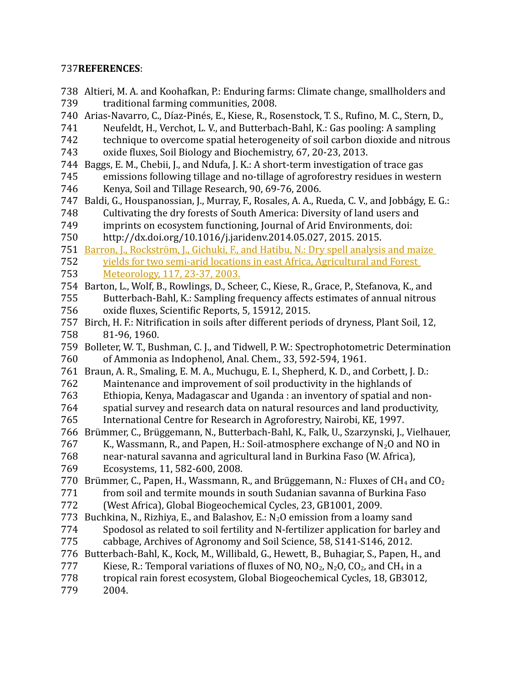## **REFERENCES**: 737

738 Altieri, M. A. and Koohafkan, P.: Enduring farms: Climate change, smallholders and traditional farming communities, 2008. 740 Arias-Navarro, C., Díaz-Pinés, E., Kiese, R., Rosenstock, T. S., Rufino, M. C., Stern, D., Neufeldt, H., Verchot, L. V., and Butterbach-Bahl, K.: Gas pooling: A sampling technique to overcome spatial heterogeneity of soil carbon dioxide and nitrous oxide fluxes, Soil Biology and Biochemistry, 67, 20-23, 2013. 744 Baggs, E. M., Chebii, J., and Ndufa, J. K.: A short-term investigation of trace gas emissions following tillage and no-tillage of agroforestry residues in western Kenya, Soil and Tillage Research, 90, 69-76, 2006. 747 Baldi, G., Houspanossian, J., Murray, F., Rosales, A. A., Rueda, C. V., and Jobbágy, E. G.: Cultivating the dry forests of South America: Diversity of land users and imprints on ecosystem functioning, Journal of Arid Environments, doi: http://dx.doi.org/10.1016/j.jaridenv.2014.05.027, 2015. 2015. 751 Barron, J., Rockström, J., Gichuki, F., and Hatibu, N.: Dry spell analysis and maize yields for two semi-arid locations in east Africa, Agricultural and Forest Meteorology, 117, 23-37, 2003. 754 Barton, L., Wolf, B., Rowlings, D., Scheer, C., Kiese, R., Grace, P., Stefanova, K., and Butterbach-Bahl, K.: Sampling frequency affects estimates of annual nitrous oxide fluxes, Scientific Reports, 5, 15912, 2015. 757 Birch, H. F.: Nitrification in soils after different periods of dryness, Plant Soil, 12, 81-96, 1960. 759 Bolleter, W. T., Bushman, C. J., and Tidwell, P. W.: Spectrophotometric Determination of Ammonia as Indophenol, Anal. Chem., 33, 592-594, 1961. 761 Braun, A. R., Smaling, E. M. A., Muchugu, E. I., Shepherd, K. D., and Corbett, J. D.: Maintenance and improvement of soil productivity in the highlands of Ethiopia, Kenya, Madagascar and Uganda : an inventory of spatial and nonspatial survey and research data on natural resources and land productivity, International Centre for Research in Agroforestry, Nairobi, KE, 1997. 766 Brümmer, C., Brüggemann, N., Butterbach-Bahl, K., Falk, U., Szarzynski, J., Vielhauer, K., Wassmann, R., and Papen, H.: Soil-atmosphere exchange of  $N_2O$  and NO in near-natural savanna and agricultural land in Burkina Faso (W. Africa), Ecosystems, 11, 582-600, 2008. 770 Brümmer, C., Papen, H., Wassmann, R., and Brüggemann, N.: Fluxes of CH<sub>4</sub> and CO<sub>2</sub> from soil and termite mounds in south Sudanian savanna of Burkina Faso (West Africa), Global Biogeochemical Cycles, 23, GB1001, 2009. 773 Buchkina, N., Rizhiya, E., and Balashov, E.:  $N_2O$  emission from a loamy sand Spodosol as related to soil fertility and N-fertilizer application for barley and cabbage, Archives of Agronomy and Soil Science, 58, S141-S146, 2012. 776 Butterbach-Bahl, K., Kock, M., Willibald, G., Hewett, B., Buhagiar, S., Papen, H., and Kiese, R.: Temporal variations of fluxes of NO,  $NO_2$ ,  $N_2O$ ,  $CO_2$ , and  $CH_4$  in a tropical rain forest ecosystem, Global Biogeochemical Cycles, 18, GB3012, 2004. 739 741 742 743 745 746 748 749 750 752 753 755 756 758 760 762 763 764 765 767 768 769 771 772 774 775 777 778 779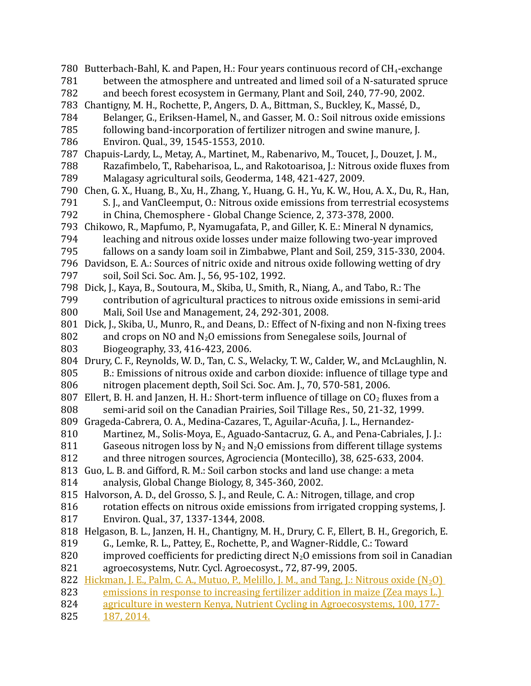780 Butterbach-Bahl, K. and Papen, H.: Four years continuous record of CH<sub>4</sub>-exchange between the atmosphere and untreated and limed soil of a N-saturated spruce and beech forest ecosystem in Germany, Plant and Soil, 240, 77-90, 2002. 783 Chantigny, M. H., Rochette, P., Angers, D. A., Bittman, S., Buckley, K., Massé, D., Belanger, G., Eriksen-Hamel, N., and Gasser, M. O.: Soil nitrous oxide emissions following band-incorporation of fertilizer nitrogen and swine manure, J. Environ. Qual., 39, 1545-1553, 2010. 787 Chapuis-Lardy, L., Metay, A., Martinet, M., Rabenarivo, M., Toucet, J., Douzet, J. M., Razafimbelo, T., Rabeharisoa, L., and Rakotoarisoa, J.: Nitrous oxide fluxes from Malagasy agricultural soils, Geoderma, 148, 421-427, 2009. 790 Chen, G. X., Huang, B., Xu, H., Zhang, Y., Huang, G. H., Yu, K. W., Hou, A. X., Du, R., Han, S. J., and VanCleemput, O.: Nitrous oxide emissions from terrestrial ecosystems in China, Chemosphere - Global Change Science, 2, 373-378, 2000. 793 Chikowo, R., Mapfumo, P., Nyamugafata, P., and Giller, K. E.: Mineral N dynamics, leaching and nitrous oxide losses under maize following two-year improved fallows on a sandy loam soil in Zimbabwe, Plant and Soil, 259, 315-330, 2004. 796 Davidson, E. A.: Sources of nitric oxide and nitrous oxide following wetting of dry soil, Soil Sci. Soc. Am. J., 56, 95-102, 1992. 798 Dick, J., Kaya, B., Soutoura, M., Skiba, U., Smith, R., Niang, A., and Tabo, R.: The contribution of agricultural practices to nitrous oxide emissions in semi-arid Mali, Soil Use and Management, 24, 292-301, 2008. 801 Dick, J., Skiba, U., Munro, R., and Deans, D.: Effect of N-fixing and non N-fixing trees and crops on NO and  $N_2O$  emissions from Senegalese soils, Journal of Biogeography, 33, 416-423, 2006. 804 Drury, C. F., Reynolds, W. D., Tan, C. S., Welacky, T. W., Calder, W., and McLaughlin, N. B.: Emissions of nitrous oxide and carbon dioxide: influence of tillage type and nitrogen placement depth, Soil Sci. Soc. Am. J., 70, 570-581, 2006. 807 Ellert, B. H. and Janzen, H. H.: Short-term influence of tillage on  $CO<sub>2</sub>$  fluxes from a semi-arid soil on the Canadian Prairies, Soil Tillage Res., 50, 21-32, 1999. Grageda-Cabrera, O. A., Medina-Cazares, T., Aguilar-Acuña, J. L., Hernandez-809 Martinez, M., Solis-Moya, E., Aguado-Santacruz, G. A., and Pena-Cabriales, J. J.: Gaseous nitrogen loss by  $N_2$  and  $N_2O$  emissions from different tillage systems and three nitrogen sources, Agrociencia (Montecillo), 38, 625-633, 2004. 813 Guo, L. B. and Gifford, R. M.: Soil carbon stocks and land use change: a meta analysis, Global Change Biology, 8, 345-360, 2002. 815 Halvorson, A. D., del Grosso, S. J., and Reule, C. A.: Nitrogen, tillage, and crop rotation effects on nitrous oxide emissions from irrigated cropping systems, J. Environ. Qual., 37, 1337-1344, 2008. 818 Helgason, B. L., Janzen, H. H., Chantigny, M. H., Drury, C. F., Ellert, B. H., Gregorich, E. G., Lemke, R. L., Pattey, E., Rochette, P., and Wagner-Riddle, C.: Toward improved coefficients for predicting direct  $N_2O$  emissions from soil in Canadian agroecosystems, Nutr. Cycl. Agroecosyst., 72, 87-99, 2005. 822 Hickman, J. E., Palm, C. A., Mutuo, P., Melillo, J. M., and Tang, J.: Nitrous oxide (N<sub>2</sub>O) emissions in response to increasing fertilizer addition in maize (Zea mays L.) agriculture in western Kenya, Nutrient Cycling in Agroecosystems, 100, 177- 187, 2014. 781 782 784 785 786 788 789 791 792 794 795 797 799 800 802 803 805 806 808 810 811 812 814 816 817 819 820 821 823 824 825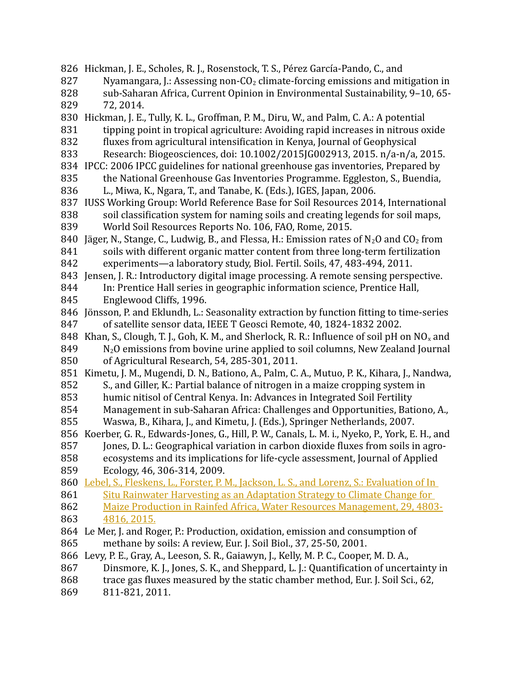826 Hickman, J. E., Scholes, R. J., Rosenstock, T. S., Pérez García-Pando, C., and Nyamangara, J.: Assessing non- $CO<sub>2</sub>$  climate-forcing emissions and mitigation in sub-Saharan Africa, Current Opinion in Environmental Sustainability, 9–10, 65- 72, 2014. 830 Hickman, J. E., Tully, K. L., Groffman, P. M., Diru, W., and Palm, C. A.: A potential tipping point in tropical agriculture: Avoiding rapid increases in nitrous oxide fluxes from agricultural intensification in Kenya, Journal of Geophysical Research: Biogeosciences, doi: 10.1002/2015JG002913, 2015. n/a-n/a, 2015. 834 IPCC: 2006 IPCC guidelines for national greenhouse gas inventories, Prepared by the National Greenhouse Gas Inventories Programme. Eggleston, S., Buendia, L., Miwa, K., Ngara, T., and Tanabe, K. (Eds.), IGES, Japan, 2006. 837 IUSS Working Group: World Reference Base for Soil Resources 2014, International soil classification system for naming soils and creating legends for soil maps, World Soil Resources Reports No. 106, FAO, Rome, 2015. 840 Jäger, N., Stange, C., Ludwig, B., and Flessa, H.: Emission rates of  $N_2O$  and  $CO_2$  from soils with different organic matter content from three long-term fertilization experiments—a laboratory study, Biol. Fertil. Soils, 47, 483-494, 2011. 843 Jensen, J. R.: Introductory digital image processing. A remote sensing perspective. In: Prentice Hall series in geographic information science, Prentice Hall, Englewood Cliffs, 1996. 846 Jönsson, P. and Eklundh, L.: Seasonality extraction by function fitting to time-series of satellite sensor data, IEEE T Geosci Remote, 40, 1824-1832 2002. 848 Khan, S., Clough, T. J., Goh, K. M., and Sherlock, R. R.: Influence of soil pH on  $NO_x$  and N2O emissions from bovine urine applied to soil columns, New Zealand Journal of Agricultural Research, 54, 285-301, 2011. 851 Kimetu, J. M., Mugendi, D. N., Bationo, A., Palm, C. A., Mutuo, P. K., Kihara, J., Nandwa, S., and Giller, K.: Partial balance of nitrogen in a maize cropping system in humic nitisol of Central Kenya. In: Advances in Integrated Soil Fertility Management in sub-Saharan Africa: Challenges and Opportunities, Bationo, A., Waswa, B., Kihara, J., and Kimetu, J. (Eds.), Springer Netherlands, 2007. 856 Koerber, G. R., Edwards-Jones, G., Hill, P. W., Canals, L. M. i., Nyeko, P., York, E. H., and Jones, D. L.: Geographical variation in carbon dioxide fluxes from soils in agroecosystems and its implications for life-cycle assessment, Journal of Applied Ecology, 46, 306-314, 2009. 860 Lebel, S., Fleskens, L., Forster, P. M., Jackson, L. S., and Lorenz, S.: Evaluation of In Situ Rainwater Harvesting as an Adaptation Strategy to Climate Change for Maize Production in Rainfed Africa, Water Resources Management, 29, 4803- 4816, 2015. 864 Le Mer, J. and Roger, P.: Production, oxidation, emission and consumption of methane by soils: A review, Eur. J. Soil Biol., 37, 25-50, 2001. 866 Levy, P. E., Gray, A., Leeson, S. R., Gaiawyn, J., Kelly, M. P. C., Cooper, M. D. A., Dinsmore, K. J., Jones, S. K., and Sheppard, L. J.: Quantification of uncertainty in trace gas fluxes measured by the static chamber method, Eur. J. Soil Sci., 62, 811-821, 2011. 827 828 829 831 832 833 835 836 838 839 841 842 844 845 847 849 850 852 853 854 855 857 858 859 861 862 863 865 867 868 869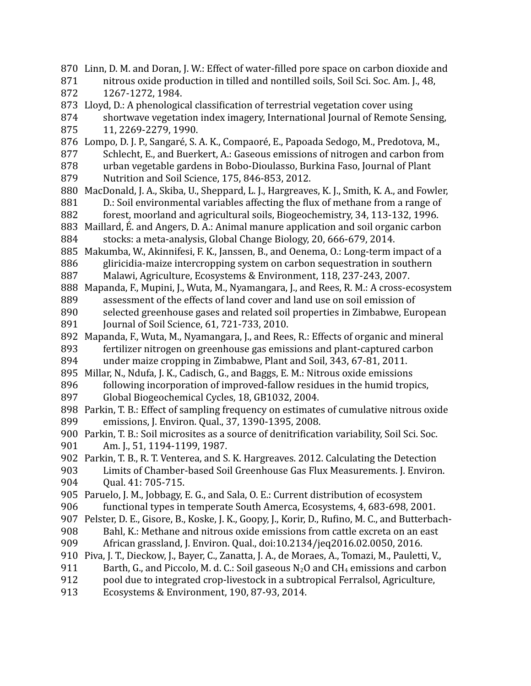870 Linn, D. M. and Doran, J. W.: Effect of water-filled pore space on carbon dioxide and nitrous oxide production in tilled and nontilled soils, Soil Sci. Soc. Am. J., 48, 1267-1272, 1984. 873 Lloyd, D.: A phenological classification of terrestrial vegetation cover using shortwave vegetation index imagery, International Journal of Remote Sensing, 11, 2269-2279, 1990. 876 Lompo, D. J. P., Sangaré, S. A. K., Compaoré, E., Papoada Sedogo, M., Predotova, M., Schlecht, E., and Buerkert, A.: Gaseous emissions of nitrogen and carbon from urban vegetable gardens in Bobo-Dioulasso, Burkina Faso, Journal of Plant Nutrition and Soil Science, 175, 846-853, 2012. MacDonald, J. A., Skiba, U., Sheppard, L. J., Hargreaves, K. J., Smith, K. A., and Fowler, 880 D.: Soil environmental variables affecting the flux of methane from a range of forest, moorland and agricultural soils, Biogeochemistry, 34, 113-132, 1996. Maillard, É. and Angers, D. A.: Animal manure application and soil organic carbon 883 stocks: a meta-analysis, Global Change Biology, 20, 666-679, 2014. 885 Makumba, W., Akinnifesi, F. K., Janssen, B., and Oenema, O.: Long-term impact of a gliricidia-maize intercropping system on carbon sequestration in southern Malawi, Agriculture, Ecosystems & Environment, 118, 237-243, 2007. 888 Mapanda, F., Mupini, J., Wuta, M., Nyamangara, J., and Rees, R. M.: A cross-ecosystem assessment of the effects of land cover and land use on soil emission of selected greenhouse gases and related soil properties in Zimbabwe, European Journal of Soil Science, 61, 721-733, 2010. 892 Mapanda, F., Wuta, M., Nyamangara, J., and Rees, R.: Effects of organic and mineral fertilizer nitrogen on greenhouse gas emissions and plant-captured carbon under maize cropping in Zimbabwe, Plant and Soil, 343, 67-81, 2011. 895 Millar, N., Ndufa, J. K., Cadisch, G., and Baggs, E. M.: Nitrous oxide emissions following incorporation of improved-fallow residues in the humid tropics, Global Biogeochemical Cycles, 18, GB1032, 2004. 898 Parkin, T. B.: Effect of sampling frequency on estimates of cumulative nitrous oxide emissions, J. Environ. Qual., 37, 1390-1395, 2008. Parkin, T. B.: Soil microsites as a source of denitrification variability, Soil Sci. Soc. 900 Am. J., 51, 1194-1199, 1987. 902 Parkin, T. B., R. T. Venterea, and S. K. Hargreaves. 2012. Calculating the Detection Limits of Chamber-based Soil Greenhouse Gas Flux Measurements. J. Environ. Qual. 41: 705-715. 905 Paruelo, J. M., Jobbagy, E. G., and Sala, O. E.: Current distribution of ecosystem functional types in temperate South Amerca, Ecosystems, 4, 683-698, 2001. 907 Pelster, D. E., Gisore, B., Koske, J. K., Goopy, J., Korir, D., Rufino, M. C., and Butterbach-Bahl, K.: Methane and nitrous oxide emissions from cattle excreta on an east African grassland, J. Environ. Qual., doi:10.2134/jeq2016.02.0050, 2016. 910 Piva, J. T., Dieckow, J., Bayer, C., Zanatta, J. A., de Moraes, A., Tomazi, M., Pauletti, V., Barth, G., and Piccolo, M. d. C.: Soil gaseous  $N_2O$  and CH<sub>4</sub> emissions and carbon pool due to integrated crop-livestock in a subtropical Ferralsol, Agriculture, Ecosystems & Environment, 190, 87-93, 2014. 871 872 874 875 877 878 879 881 882 884 886 887 889 890 891 893 894 896 897 899 901 903 904 906 908 909 911 912 913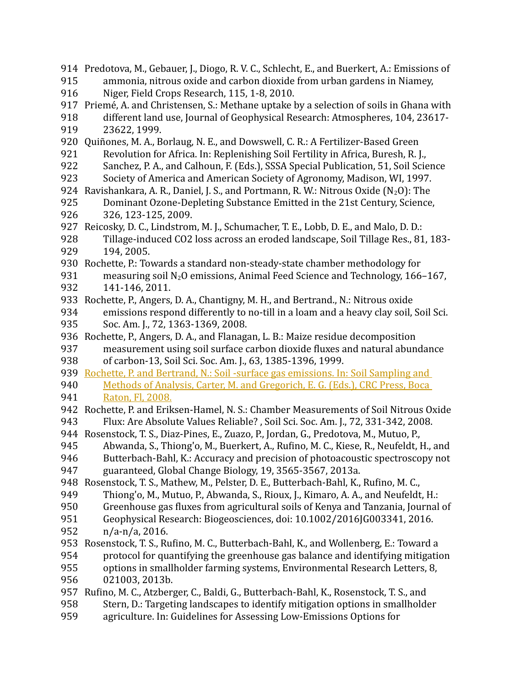914 Predotova, M., Gebauer, J., Diogo, R. V. C., Schlecht, E., and Buerkert, A.: Emissions of ammonia, nitrous oxide and carbon dioxide from urban gardens in Niamey, Niger, Field Crops Research, 115, 1-8, 2010. 917 Priemé, A. and Christensen, S.: Methane uptake by a selection of soils in Ghana with different land use, Journal of Geophysical Research: Atmospheres, 104, 23617- 23622, 1999. 920 Quiñones, M. A., Borlaug, N. E., and Dowswell, C. R.: A Fertilizer-Based Green Revolution for Africa. In: Replenishing Soil Fertility in Africa, Buresh, R. J., Sanchez, P. A., and Calhoun, F. (Eds.), SSSA Special Publication, 51, Soil Science Society of America and American Society of Agronomy, Madison, WI, 1997. 924 Ravishankara, A. R., Daniel, J. S., and Portmann, R. W.: Nitrous Oxide (N<sub>2</sub>O): The Dominant Ozone-Depleting Substance Emitted in the 21st Century, Science, 326, 123-125, 2009. 927 Reicosky, D. C., Lindstrom, M. J., Schumacher, T. E., Lobb, D. E., and Malo, D. D.: Tillage-induced CO2 loss across an eroded landscape, Soil Tillage Res., 81, 183- 194, 2005. 930 Rochette, P.: Towards a standard non-steady-state chamber methodology for measuring soil  $N_2O$  emissions, Animal Feed Science and Technology, 166–167, 141-146, 2011. 933 Rochette, P., Angers, D. A., Chantigny, M. H., and Bertrand., N.: Nitrous oxide emissions respond differently to no-till in a loam and a heavy clay soil, Soil Sci. Soc. Am. J., 72, 1363-1369, 2008. 936 Rochette, P., Angers, D. A., and Flanagan, L. B.: Maize residue decomposition measurement using soil surface carbon dioxide fluxes and natural abundance of carbon-13, Soil Sci. Soc. Am. J., 63, 1385-1396, 1999. 939 Rochette, P. and Bertrand, N.: Soil -surface gas emissions. In: Soil Sampling and Methods of Analysis, Carter, M. and Gregorich, E. G. (Eds.), CRC Press, Boca Raton, Fl, 2008. 942 Rochette, P. and Eriksen-Hamel, N. S.: Chamber Measurements of Soil Nitrous Oxide Flux: Are Absolute Values Reliable? , Soil Sci. Soc. Am. J., 72, 331-342, 2008. 944 Rosenstock, T. S., Diaz-Pines, E., Zuazo, P., Jordan, G., Predotova, M., Mutuo, P., Abwanda, S., Thiong'o, M., Buerkert, A., Rufino, M. C., Kiese, R., Neufeldt, H., and Butterbach-Bahl, K.: Accuracy and precision of photoacoustic spectroscopy not guaranteed, Global Change Biology, 19, 3565-3567, 2013a. 948 Rosenstock, T. S., Mathew, M., Pelster, D. E., Butterbach-Bahl, K., Rufino, M. C., Thiong'o, M., Mutuo, P., Abwanda, S., Rioux, J., Kimaro, A. A., and Neufeldt, H.: Greenhouse gas fluxes from agricultural soils of Kenya and Tanzania, Journal of Geophysical Research: Biogeosciences, doi: 10.1002/2016JG003341, 2016. n/a-n/a, 2016. 953 Rosenstock, T. S., Rufino, M. C., Butterbach-Bahl, K., and Wollenberg, E.: Toward a protocol for quantifying the greenhouse gas balance and identifying mitigation options in smallholder farming systems, Environmental Research Letters, 8, 021003, 2013b. 957 Rufino, M. C., Atzberger, C., Baldi, G., Butterbach-Bahl, K., Rosenstock, T. S., and Stern, D.: Targeting landscapes to identify mitigation options in smallholder agriculture. In: Guidelines for Assessing Low-Emissions Options for 915 916 918 919 921 922 923 925 926 928 929 931 932 934 935 937 938 940 941 943 945 946 947 949 950 951 952 954 955 956 958 959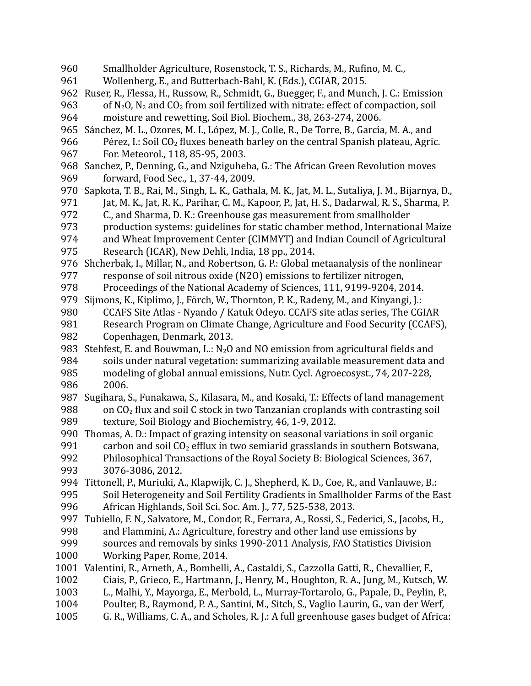- Smallholder Agriculture, Rosenstock, T. S., Richards, M., Rufino, M. C., 960
- Wollenberg, E., and Butterbach-Bahl, K. (Eds.), CGIAR, 2015. 961
- 962 Ruser, R., Flessa, H., Russow, R., Schmidt, G., Buegger, F., and Munch, J. C.: Emission
- of  $N_2$ O,  $N_2$  and  $CO_2$  from soil fertilized with nitrate: effect of compaction, soil moisture and rewetting, Soil Biol. Biochem., 38, 263-274, 2006. 963 964
- 965 Sánchez, M. L., Ozores, M. I., López, M. J., Colle, R., De Torre, B., García, M. A., and
- Pérez, I.: Soil  $CO<sub>2</sub>$  fluxes beneath barley on the central Spanish plateau, Agric. 966
- For. Meteorol., 118, 85-95, 2003. 967
- 968 Sanchez, P., Denning, G., and Nziguheba, G.: The African Green Revolution moves forward, Food Sec., 1, 37-44, 2009. 969
- 970 Sapkota, T. B., Rai, M., Singh, L. K., Gathala, M. K., Jat, M. L., Sutaliya, J. M., Bijarnya, D., Jat, M. K., Jat, R. K., Parihar, C. M., Kapoor, P., Jat, H. S., Dadarwal, R. S., Sharma, P. 971
- C., and Sharma, D. K.: Greenhouse gas measurement from smallholder 972
- production systems: guidelines for static chamber method, International Maize 973
- and Wheat Improvement Center (CIMMYT) and Indian Council of Agricultural 974
- Research (ICAR), New Dehli, India, 18 pp., 2014. 975
- 976 Shcherbak, I., Millar, N., and Robertson, G. P.: Global metaanalysis of the nonlinear response of soil nitrous oxide (N2O) emissions to fertilizer nitrogen, 977
- Proceedings of the National Academy of Sciences, 111, 9199-9204, 2014. 978
- 979 Sijmons, K., Kiplimo, J., Förch, W., Thornton, P. K., Radeny, M., and Kinyangi, J.:
- CCAFS Site Atlas Nyando / Katuk Odeyo. CCAFS site atlas series, The CGIAR 980
- Research Program on Climate Change, Agriculture and Food Security (CCAFS), 981
- Copenhagen, Denmark, 2013. 982
- 983 Stehfest, E. and Bouwman, L.:  $N_2O$  and NO emission from agricultural fields and soils under natural vegetation: summarizing available measurement data and modeling of global annual emissions, Nutr. Cycl. Agroecosyst., 74, 207-228, 2006. 984 985 986
- 987 Sugihara, S., Funakawa, S., Kilasara, M., and Kosaki, T.: Effects of land management on CO2 flux and soil C stock in two Tanzanian croplands with contrasting soil texture, Soil Biology and Biochemistry, 46, 1-9, 2012. 988 989
- 990 Thomas, A. D.: Impact of grazing intensity on seasonal variations in soil organic
- carbon and soil  $CO<sub>2</sub>$  efflux in two semiarid grasslands in southern Botswana, 991
- Philosophical Transactions of the Royal Society B: Biological Sciences, 367, 3076-3086, 2012. 992 993
- Tittonell, P., Muriuki, A., Klapwijk, C. J., Shepherd, K. D., Coe, R., and Vanlauwe, B.: 994 Soil Heterogeneity and Soil Fertility Gradients in Smallholder Farms of the East African Highlands, Soil Sci. Soc. Am. J., 77, 525-538, 2013. 995 996
- 
- 997 Tubiello, F. N., Salvatore, M., Condor, R., Ferrara, A., Rossi, S., Federici, S., Jacobs, H., and Flammini, A.: Agriculture, forestry and other land use emissions by sources and removals by sinks 1990-2011 Analysis, FAO Statistics Division Working Paper, Rome, 2014. 998 999 1000
- 1001 Valentini, R., Arneth, A., Bombelli, A., Castaldi, S., Cazzolla Gatti, R., Chevallier, F.,
- Ciais, P., Grieco, E., Hartmann, J., Henry, M., Houghton, R. A., Jung, M., Kutsch, W. 1002
- L., Malhi, Y., Mayorga, E., Merbold, L., Murray-Tortarolo, G., Papale, D., Peylin, P., 1003
- Poulter, B., Raymond, P. A., Santini, M., Sitch, S., Vaglio Laurin, G., van der Werf, 1004
- G. R., Williams, C. A., and Scholes, R. J.: A full greenhouse gases budget of Africa: 1005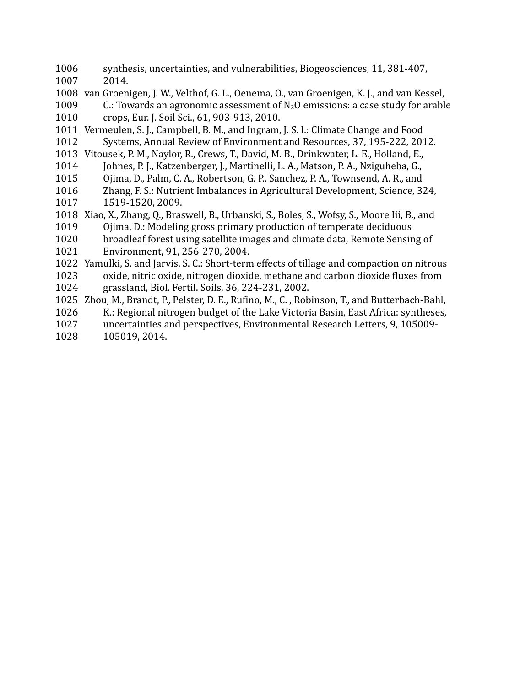- synthesis, uncertainties, and vulnerabilities, Biogeosciences, 11, 381-407, 2014. 1006 1007
- 1008 van Groenigen, J. W., Velthof, G. L., Oenema, O., van Groenigen, K. J., and van Kessel,
- C.: Towards an agronomic assessment of  $N_2O$  emissions: a case study for arable crops, Eur. J. Soil Sci., 61, 903-913, 2010. 1009 1010
- 1011 Vermeulen, S. J., Campbell, B. M., and Ingram, J. S. I.: Climate Change and Food Systems, Annual Review of Environment and Resources, 37, 195-222, 2012. 1012
- 1013 Vitousek, P. M., Naylor, R., Crews, T., David, M. B., Drinkwater, L. E., Holland, E.,
- Johnes, P. J., Katzenberger, J., Martinelli, L. A., Matson, P. A., Nziguheba, G., 1014
- Ojima, D., Palm, C. A., Robertson, G. P., Sanchez, P. A., Townsend, A. R., and 1015
- Zhang, F. S.: Nutrient Imbalances in Agricultural Development, Science, 324, 1519-1520, 2009. 1016 1017
- 1018 Xiao, X., Zhang, Q., Braswell, B., Urbanski, S., Boles, S., Wofsy, S., Moore Iii, B., and
- Ojima, D.: Modeling gross primary production of temperate deciduous 1019
- broadleaf forest using satellite images and climate data, Remote Sensing of 1020
- Environment, 91, 256-270, 2004. 1021
- 1022 Yamulki, S. and Jarvis, S. C.: Short-term effects of tillage and compaction on nitrous oxide, nitric oxide, nitrogen dioxide, methane and carbon dioxide fluxes from grassland, Biol. Fertil. Soils, 36, 224-231, 2002. 1023 1024
- 1025 Zhou, M., Brandt, P., Pelster, D. E., Rufino, M., C., Robinson, T., and Butterbach-Bahl,
- K.: Regional nitrogen budget of the Lake Victoria Basin, East Africa: syntheses, 1026
- uncertainties and perspectives, Environmental Research Letters, 9, 105009- 1027
- 105019, 2014. 1028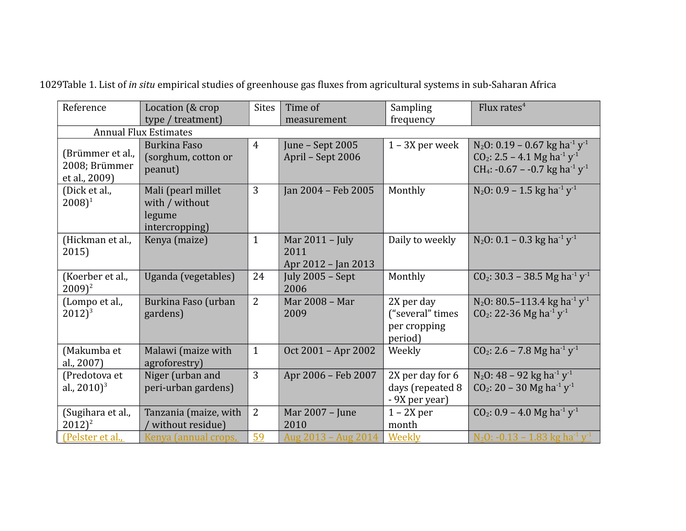| Reference                                          | Location (& crop<br>type / treatment)                            | <b>Sites</b><br>Sampling<br>Time of<br>frequency<br>measurement |                                                  | Flux rates <sup>4</sup>                                   |                                                                                                                                                                                                   |  |  |
|----------------------------------------------------|------------------------------------------------------------------|-----------------------------------------------------------------|--------------------------------------------------|-----------------------------------------------------------|---------------------------------------------------------------------------------------------------------------------------------------------------------------------------------------------------|--|--|
| <b>Annual Flux Estimates</b>                       |                                                                  |                                                                 |                                                  |                                                           |                                                                                                                                                                                                   |  |  |
| (Brümmer et al.,<br>2008; Brümmer<br>et al., 2009) | <b>Burkina Faso</b><br>(sorghum, cotton or<br>peanut)            | $\overline{4}$                                                  | June - Sept 2005<br>April - Sept 2006            | $1 - 3X$ per week                                         | N <sub>2</sub> O: 0.19 - 0.67 kg ha <sup>-1</sup> y <sup>-1</sup><br>$CO_2$ : 2.5 – 4.1 Mg ha <sup>-1</sup> y <sup>-1</sup><br>CH <sub>4</sub> : -0.67 - -0.7 kg ha <sup>-1</sup> y <sup>-1</sup> |  |  |
| (Dick et al.,<br>$(2008)^1$                        | Mali (pearl millet<br>with / without<br>legume<br>intercropping) | 3                                                               | Jan 2004 - Feb 2005                              | Monthly                                                   | N <sub>2</sub> O: 0.9 – 1.5 kg ha <sup>-1</sup> y <sup>-1</sup>                                                                                                                                   |  |  |
| (Hickman et al.,<br>2015)                          | Kenya (maize)                                                    | $\mathbf{1}$                                                    | Mar $2011 -$ July<br>2011<br>Apr 2012 - Jan 2013 | Daily to weekly                                           | N <sub>2</sub> O: 0.1 – 0.3 kg ha <sup>-1</sup> y <sup>-1</sup>                                                                                                                                   |  |  |
| (Koerber et al.,<br>$2009$ <sup>2</sup>            | Uganda (vegetables)                                              | 24                                                              | July $2005 - Sept$<br>2006                       | Monthly                                                   | $CO_2$ : 30.3 – 38.5 Mg ha <sup>-1</sup> y <sup>-1</sup>                                                                                                                                          |  |  |
| (Lompo et al.,<br>$2012)^3$                        | Burkina Faso (urban<br>gardens)                                  | $\overline{2}$                                                  | Mar 2008 - Mar<br>2009                           | 2X per day<br>("several" times<br>per cropping<br>period) | N <sub>2</sub> O: 80.5-113.4 kg ha <sup>-1</sup> $y$ <sup>-1</sup><br>$CO_2$ : 22-36 Mg ha <sup>-1</sup> y <sup>-1</sup>                                                                          |  |  |
| (Makumba et<br>al., 2007)                          | Malawi (maize with<br>agroforestry)                              | $\mathbf{1}$                                                    | Oct 2001 - Apr 2002                              | Weekly                                                    | $CO_2$ : 2.6 – 7.8 Mg ha <sup>-1</sup> y <sup>-1</sup>                                                                                                                                            |  |  |
| (Predotova et<br>al., $2010$ <sup>3</sup>          | Niger (urban and<br>peri-urban gardens)                          | 3                                                               | Apr 2006 - Feb 2007                              | 2X per day for 6<br>days (repeated 8<br>- 9X per year)    | $N_2$ O: 48 – 92 kg ha <sup>-1</sup> y <sup>-1</sup><br>$CO_2$ : 20 – 30 Mg ha <sup>-1</sup> y <sup>-1</sup>                                                                                      |  |  |
| (Sugihara et al.,<br>$2012)^2$                     | Tanzania (maize, with<br>without residue)                        | $\overline{2}$                                                  | Mar 2007 - June<br>2010                          | $1 - 2X$ per<br>month                                     | $CO_2$ : 0.9 – 4.0 Mg ha <sup>-1</sup> y <sup>-1</sup>                                                                                                                                            |  |  |
| (Pelster et al.,                                   | Kenya (annual crops,                                             | 59                                                              | <u> Aug 2013 – Aug 2014</u>                      | Weekly                                                    | <u>N<sub>2</sub>O: -0.13 – 1.83 kg ha<sup>-1</sup> y<sup>-1</sup></u>                                                                                                                             |  |  |

1029Table 1. List of *in situ* empirical studies of greenhouse gas fluxes from agricultural systems in sub-Saharan Africa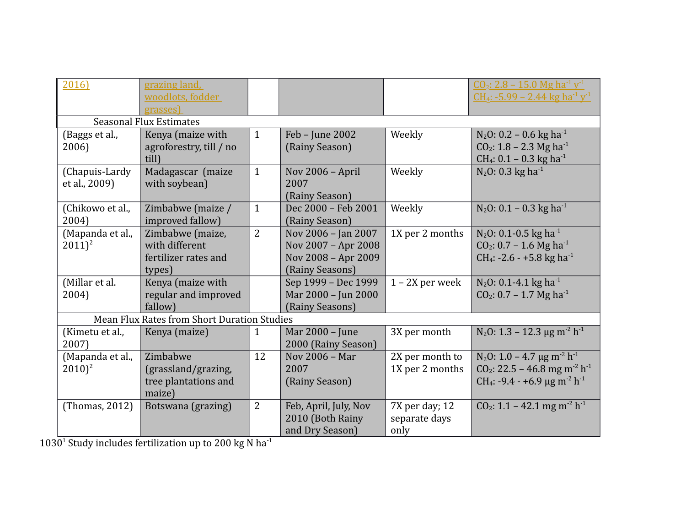| 2016)                                              | grazing land,<br>woodlots, fodder<br>grasses)                        |                |                                                                                      |                                         | $CO_2$ : 2.8 – 15.0 Mg ha <sup>-1</sup> y <sup>-1</sup><br>$CH_4: -5.99 - 2.44$ kg ha <sup>-1</sup> y <sup>-1</sup>                                                                           |  |  |
|----------------------------------------------------|----------------------------------------------------------------------|----------------|--------------------------------------------------------------------------------------|-----------------------------------------|-----------------------------------------------------------------------------------------------------------------------------------------------------------------------------------------------|--|--|
| <b>Seasonal Flux Estimates</b>                     |                                                                      |                |                                                                                      |                                         |                                                                                                                                                                                               |  |  |
| (Baggs et al.,<br>2006)                            | Kenya (maize with<br>agroforestry, till / no<br>till)                | $\mathbf{1}$   | Feb - June 2002<br>(Rainy Season)                                                    | Weekly                                  | $N_2$ O: 0.2 – 0.6 kg ha <sup>-1</sup><br>$CO_2$ : 1.8 – 2.3 Mg ha <sup>-1</sup><br>CH <sub>4</sub> : $0.1 - 0.3$ kg ha <sup>-1</sup>                                                         |  |  |
| (Chapuis-Lardy<br>et al., 2009)                    | Madagascar (maize<br>with soybean)                                   | $\mathbf{1}$   | Nov 2006 - April<br>2007<br>(Rainy Season)                                           | Weekly                                  | $N_2$ O: 0.3 kg ha <sup>-1</sup>                                                                                                                                                              |  |  |
| (Chikowo et al.,<br>2004)                          | Zimbabwe (maize /<br>improved fallow)                                | $\mathbf{1}$   | Dec 2000 - Feb 2001<br>(Rainy Season)                                                | Weekly                                  | $N_2$ O: 0.1 – 0.3 kg ha <sup>-1</sup>                                                                                                                                                        |  |  |
| (Mapanda et al.,<br>$2011)^2$                      | Zimbabwe (maize,<br>with different<br>fertilizer rates and<br>types) | $\overline{2}$ | Nov 2006 - Jan 2007<br>Nov 2007 - Apr 2008<br>Nov 2008 - Apr 2009<br>(Rainy Seasons) | 1X per 2 months                         | $N_2$ O: 0.1-0.5 kg ha <sup>-1</sup><br>$CO_2$ : 0.7 – 1.6 Mg ha <sup>-1</sup><br>CH <sub>4</sub> : -2.6 - +5.8 kg ha <sup>-1</sup>                                                           |  |  |
| (Millar et al.<br>2004)                            | Kenya (maize with<br>regular and improved<br>fallow)                 |                | Sep 1999 - Dec 1999<br>Mar 2000 - Jun 2000<br>(Rainy Seasons)                        | $1 - 2X$ per week                       | $N_2O$ : 0.1-4.1 kg ha <sup>-1</sup><br>$CO_2$ : 0.7 – 1.7 Mg ha <sup>-1</sup>                                                                                                                |  |  |
| <b>Mean Flux Rates from Short Duration Studies</b> |                                                                      |                |                                                                                      |                                         |                                                                                                                                                                                               |  |  |
| (Kimetu et al.,<br>2007)                           | Kenya (maize)                                                        | 1              | Mar 2000 - June<br>2000 (Rainy Season)                                               | 3X per month                            | $N_2$ O: 1.3 – 12.3 µg m <sup>-2</sup> h <sup>-1</sup>                                                                                                                                        |  |  |
| (Mapanda et al.,<br>$2010)^2$                      | Zimbabwe<br>(grassland/grazing,<br>tree plantations and<br>maize)    | 12             | Nov 2006 - Mar<br>2007<br>(Rainy Season)                                             | 2X per month to<br>1X per 2 months      | $N_2$ O: 1.0 – 4.7 µg m <sup>-2</sup> h <sup>-1</sup><br>CO <sub>2</sub> : 22.5 - 46.8 mg m <sup>-2</sup> h <sup>-1</sup><br>CH <sub>4</sub> : -9.4 - +6.9 µg m <sup>-2</sup> h <sup>-1</sup> |  |  |
| (Thomas, 2012)                                     | Botswana (grazing)                                                   | 2              | Feb, April, July, Nov<br>2010 (Both Rainy<br>and Dry Season)                         | 7X per day; 12<br>separate days<br>only | $CO2: 1.1 - 42.1$ mg m <sup>-2</sup> h <sup>-1</sup>                                                                                                                                          |  |  |

1030<sup>1</sup> Study includes fertilization up to 200 kg N ha<sup>-1</sup>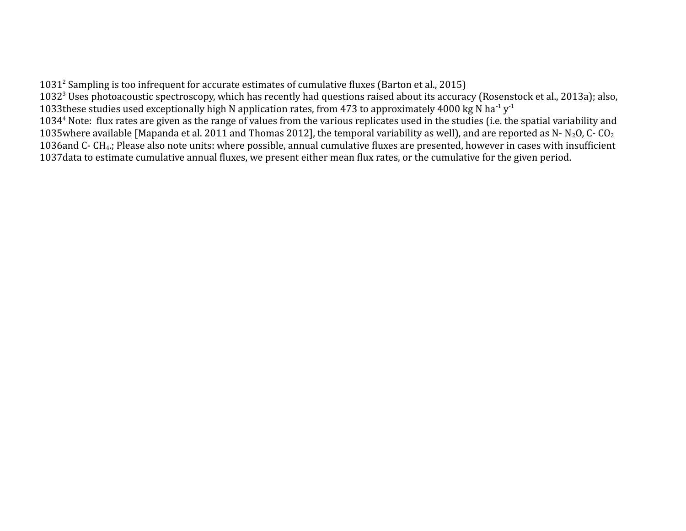1031<sup>2</sup> Sampling is too infrequent for accurate estimates of cumulative fluxes (Barton et al., 2015) 1032<sup>3</sup> Uses photoacoustic spectroscopy, which has recently had questions raised about its accuracy (Rosenstock et al., 2013a); also, 1033 these studies used exceptionally high N application rates, from 473 to approximately 4000 kg N ha<sup>-1</sup> y<sup>-1</sup> 1034<sup>4</sup> Note: flux rates are given as the range of values from the various replicates used in the studies (i.e. the spatial variability and 1035 where available [Mapanda et al. 2011 and Thomas 2012], the temporal variability as well), and are reported as N-N<sub>2</sub>O, C-CO<sub>2</sub> 1036 and C- CH<sub>4</sub>.; Please also note units: where possible, annual cumulative fluxes are presented, however in cases with insufficient 1037 data to estimate cumulative annual fluxes, we present either mean flux rates, or the cumulative for the given period.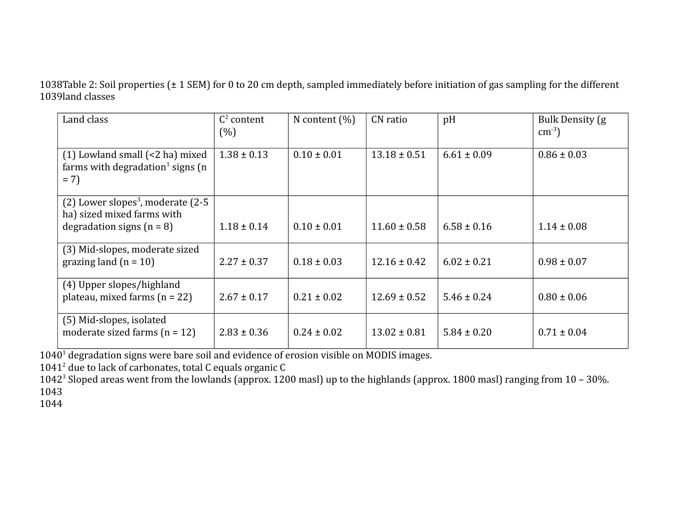1038Table 2: Soil properties  $(\pm 1$  SEM) for 0 to 20 cm depth, sampled immediately before initiation of gas sampling for the different 1039land classes

| Land class                                                                                        | $C^2$ content<br>(%) | N content $(\% )$ | CN ratio         | pH              | Bulk Density (g)<br>$\text{cm}^{-3}$ ) |
|---------------------------------------------------------------------------------------------------|----------------------|-------------------|------------------|-----------------|----------------------------------------|
| $(1)$ Lowland small $(\leq 2$ ha) mixed<br>farms with degradation <sup>1</sup> signs (n)<br>$= 7$ | $1.38 \pm 0.13$      | $0.10 \pm 0.01$   | $13.18 \pm 0.51$ | $6.61 \pm 0.09$ | $0.86 \pm 0.03$                        |
| $(2)$ Lower slopes <sup>3</sup> , moderate $(2-5)$                                                |                      |                   |                  |                 |                                        |
| ha) sized mixed farms with<br>degradation signs $(n = 8)$                                         | $1.18 \pm 0.14$      | $0.10 \pm 0.01$   | $11.60 \pm 0.58$ | $6.58 \pm 0.16$ | $1.14 \pm 0.08$                        |
| (3) Mid-slopes, moderate sized<br>grazing land $(n = 10)$                                         | $2.27 \pm 0.37$      | $0.18 \pm 0.03$   | $12.16 \pm 0.42$ | $6.02 \pm 0.21$ | $0.98 \pm 0.07$                        |
| (4) Upper slopes/highland<br>plateau, mixed farms $(n = 22)$                                      | $2.67 \pm 0.17$      | $0.21 \pm 0.02$   | $12.69 \pm 0.52$ | $5.46 \pm 0.24$ | $0.80 \pm 0.06$                        |
| (5) Mid-slopes, isolated<br>moderate sized farms $(n = 12)$                                       | $2.83 \pm 0.36$      | $0.24 \pm 0.02$   | $13.02 \pm 0.81$ | $5.84 \pm 0.20$ | $0.71 \pm 0.04$                        |

1040<sup>1</sup> degradation signs were bare soil and evidence of erosion visible on MODIS images.

 $1041<sup>2</sup>$  due to lack of carbonates, total C equals organic C

1042<sup>3</sup> Sloped areas went from the lowlands (approx. 1200 masl) up to the highlands (approx. 1800 masl) ranging from 10 - 30%. 1043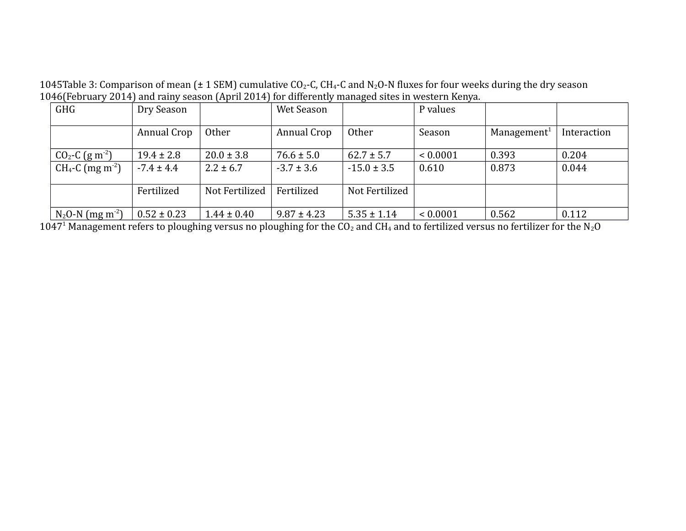1045Table 3: Comparison of mean ( $\pm$  1 SEM) cumulative CO<sub>2</sub>-C, CH<sub>4</sub>-C and N<sub>2</sub>O-N fluxes for four weeks during the dry season 1046(February 2014) and rainy season (April 2014) for differently managed sites in western Kenya.

| <b>GHG</b>                      | Dry Season      |                 | Wet Season      |                 | P values     |                         |             |
|---------------------------------|-----------------|-----------------|-----------------|-----------------|--------------|-------------------------|-------------|
|                                 | Annual Crop     | Other           | Annual Crop     | <b>Other</b>    | Season       | Management <sup>1</sup> | Interaction |
| $CO_2$ -C (g m <sup>-2</sup> )  | $19.4 \pm 2.8$  | $20.0 \pm 3.8$  | $76.6 \pm 5.0$  | $62.7 \pm 5.7$  | < 0.0001     | 0.393                   | 0.204       |
| $CH_4$ -C (mg m <sup>-2</sup> ) | $-7.4 \pm 4.4$  | $2.2 \pm 6.7$   | $-3.7 \pm 3.6$  | $-15.0 \pm 3.5$ | 0.610        | 0.873                   | 0.044       |
|                                 | Fertilized      | Not Fertilized  | Fertilized      | Not Fertilized  |              |                         |             |
| $N_2O-N$ (mg m <sup>-2</sup> )  | $0.52 \pm 0.23$ | $1.44 \pm 0.40$ | $9.87 \pm 4.23$ | $5.35 \pm 1.14$ | ${}< 0.0001$ | 0.562                   | 0.112       |

1047<sup>1</sup> Management refers to ploughing versus no ploughing for the CO<sub>2</sub> and CH<sub>4</sub> and to fertilized versus no fertilizer for the N<sub>2</sub>O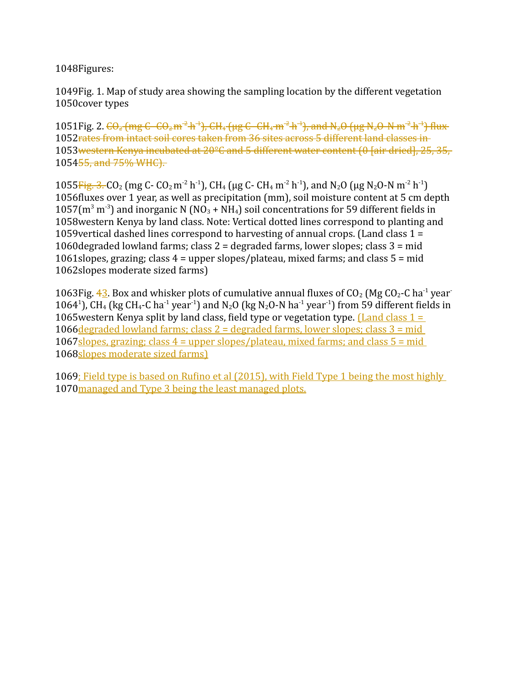1048Figures:

1049 Fig. 1. Map of study area showing the sampling location by the different vegetation 1050cover types

1051Fig. 2.  $\epsilon \Theta_2$  (mg C- $\epsilon \Theta_2$ m<sup>-2</sup> h<sup>-1</sup>), CH<sub>4</sub> (µg C- $\epsilon$ H<sub>4</sub> m<sup>-2</sup> h<sup>-1</sup>), and N<sub>2</sub>O (µg N<sub>2</sub>O-N m<sup>-2</sup> h<sup>-1</sup>) flux 1052rates from intact soil cores taken from 36 sites across 5 different land classes in 1053western Kenya incubated at 20°C and 5 different water content (0 [air dried], 25, 35, 1054<del>55, and 75% WHC).</del>

1055 Fig. 3. CO<sub>2</sub> (mg C- CO<sub>2</sub> m<sup>-2</sup> h<sup>-1</sup>), CH<sub>4</sub> (μg C- CH<sub>4</sub> m<sup>-2</sup> h<sup>-1</sup>), and N<sub>2</sub>O (μg N<sub>2</sub>O-N m<sup>-2</sup> h<sup>-1</sup>) 1056 fluxes over 1 year, as well as precipitation (mm), soil moisture content at 5 cm depth 1057( $m^3$  m<sup>-3</sup>) and inorganic N (NO<sub>3</sub> + NH<sub>4</sub>) soil concentrations for 59 different fields in 1058 western Kenya by land class. Note: Vertical dotted lines correspond to planting and 1059 vertical dashed lines correspond to harvesting of annual crops. (Land class  $1 =$ 1060 degraded lowland farms; class  $2 =$  degraded farms, lower slopes; class  $3 =$  mid 1061 slopes, grazing; class  $4 =$  upper slopes/plateau, mixed farms; and class  $5 =$  mid 1062slopes moderate sized farms)

1063Fig.  $42$ . Box and whisker plots of cumulative annual fluxes of CO<sub>2</sub> (Mg CO<sub>2</sub>-C ha<sup>-1</sup> year 1064<sup>1</sup>), CH<sub>4</sub> (kg CH<sub>4</sub>-C ha<sup>-1</sup> year<sup>-1</sup>) and N<sub>2</sub>O (kg N<sub>2</sub>O-N ha<sup>-1</sup> year<sup>-1</sup>) from 59 different fields in 1065 western Kenya split by land class, field type or vegetation type. *Land class 1* = 1066 degraded lowland farms; class 2 = degraded farms, lower slopes; class 3 = mid 1067 slopes, grazing; class 4 = upper slopes/plateau, mixed farms; and class 5 = mid 1068 slopes moderate sized farms)

1069; Field type is based on Rufino et al (2015), with Field Type 1 being the most highly 1070 managed and Type 3 being the least managed plots.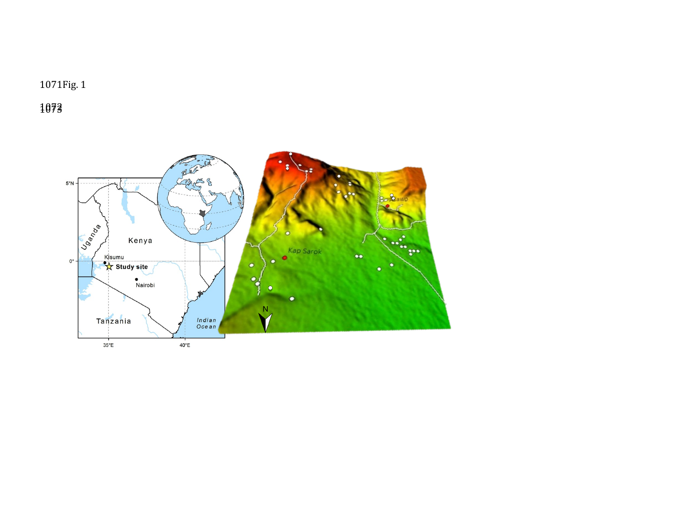1071Fig. 1

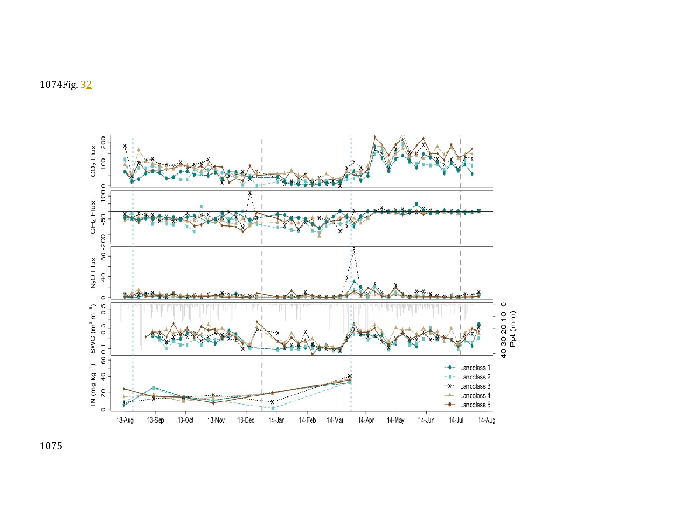